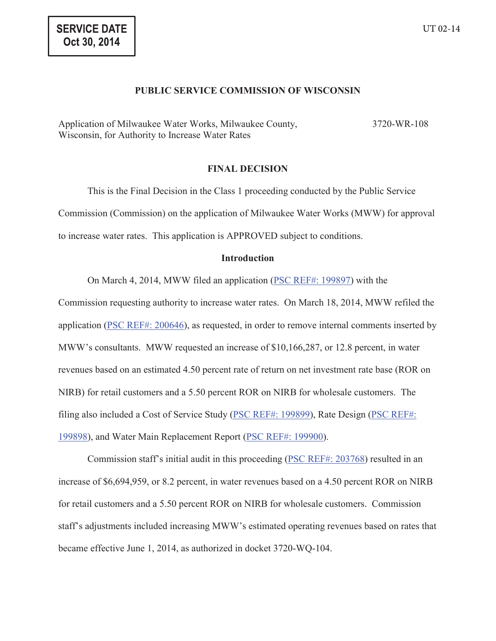## **PUBLIC SERVICE COMMISSION OF WISCONSIN**

Application of Milwaukee Water Works, Milwaukee County, Wisconsin, for Authority to Increase Water Rates 3720-WR-108

# **FINAL DECISION**

This is the Final Decision in the Class 1 proceeding conducted by the Public Service Commission (Commission) on the application of Milwaukee Water Works (MWW) for approval to increase water rates. This application is APPROVED subject to conditions.

# **Introduction**

On March 4, 2014, MWW filed an application (PSC REF#: 199897) with the

Commission requesting authority to increase water rates. On March 18, 2014, MWW refiled the application (PSC REF#: 200646), as requested, in order to remove internal comments inserted by MWW's consultants. MWW requested an increase of \$10,166,287, or 12.8 percent, in water revenues based on an estimated 4.50 percent rate of return on net investment rate base (ROR on NIRB) for retail customers and a 5.50 percent ROR on NIRB for wholesale customers. The filing also included a Cost of Service Study (PSC REF#: 199899), Rate Design (PSC REF#: 199898), and Water Main Replacement Report (PSC REF#: 199900).

Commission staff's initial audit in this proceeding (PSC REF#: 203768) resulted in an increase of \$6,694,959, or 8.2 percent, in water revenues based on a 4.50 percent ROR on NIRB for retail customers and a 5.50 percent ROR on NIRB for wholesale customers. Commission staff's adjustments included increasing MWW's estimated operating revenues based on rates that became effective June 1, 2014, as authorized in docket 3720-WQ-104.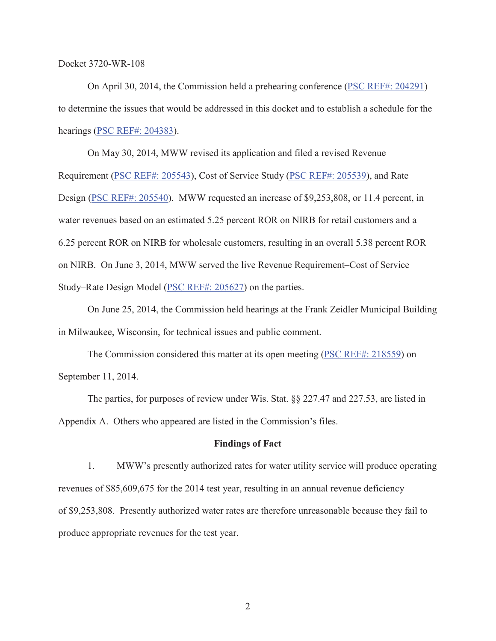On April 30, 2014, the Commission held a prehearing conference (PSC REF#: 204291) to determine the issues that would be addressed in this docket and to establish a schedule for the hearings (PSC REF#: 204383).

On May 30, 2014, MWW revised its application and filed a revised Revenue Requirement (PSC REF#: 205543), Cost of Service Study (PSC REF#: 205539), and Rate Design (PSC REF#: 205540). MWW requested an increase of \$9,253,808, or 11.4 percent, in water revenues based on an estimated 5.25 percent ROR on NIRB for retail customers and a 6.25 percent ROR on NIRB for wholesale customers, resulting in an overall 5.38 percent ROR on NIRB. On June 3, 2014, MWW served the live Revenue Requirement–Cost of Service Study–Rate Design Model (PSC REF#: 205627) on the parties.

On June 25, 2014, the Commission held hearings at the Frank Zeidler Municipal Building in Milwaukee, Wisconsin, for technical issues and public comment.

The Commission considered this matter at its open meeting (PSC REF#: 218559) on September 11, 2014.

The parties, for purposes of review under Wis. Stat. §§ 227.47 and 227.53, are listed in Appendix A. Others who appeared are listed in the Commission's files.

## **Findings of Fact**

1. MWW's presently authorized rates for water utility service will produce operating revenues of \$85,609,675 for the 2014 test year, resulting in an annual revenue deficiency of \$9,253,808. Presently authorized water rates are therefore unreasonable because they fail to produce appropriate revenues for the test year.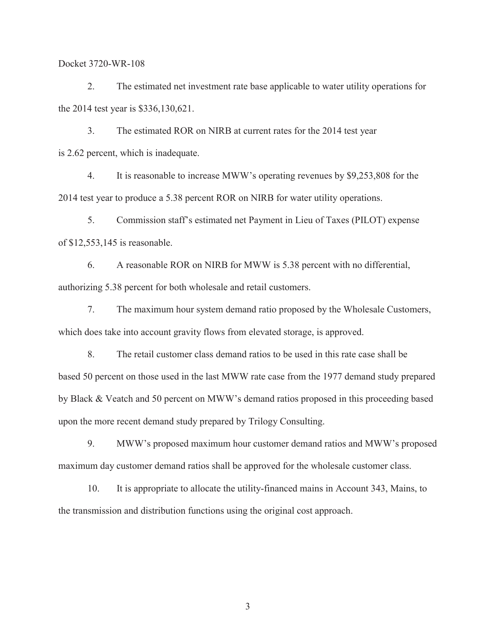2. The estimated net investment rate base applicable to water utility operations for the 2014 test year is \$336,130,621.

3. The estimated ROR on NIRB at current rates for the 2014 test year is 2.62 percent, which is inadequate.

4. It is reasonable to increase MWW's operating revenues by \$9,253,808 for the 2014 test year to produce a 5.38 percent ROR on NIRB for water utility operations.

5. Commission staff's estimated net Payment in Lieu of Taxes (PILOT) expense of \$12,553,145 is reasonable.

6. A reasonable ROR on NIRB for MWW is 5.38 percent with no differential, authorizing 5.38 percent for both wholesale and retail customers.

7. The maximum hour system demand ratio proposed by the Wholesale Customers, which does take into account gravity flows from elevated storage, is approved.

8. The retail customer class demand ratios to be used in this rate case shall be based 50 percent on those used in the last MWW rate case from the 1977 demand study prepared by Black & Veatch and 50 percent on MWW's demand ratios proposed in this proceeding based upon the more recent demand study prepared by Trilogy Consulting.

9. MWW's proposed maximum hour customer demand ratios and MWW's proposed maximum day customer demand ratios shall be approved for the wholesale customer class.

10. It is appropriate to allocate the utility-financed mains in Account 343, Mains, to the transmission and distribution functions using the original cost approach.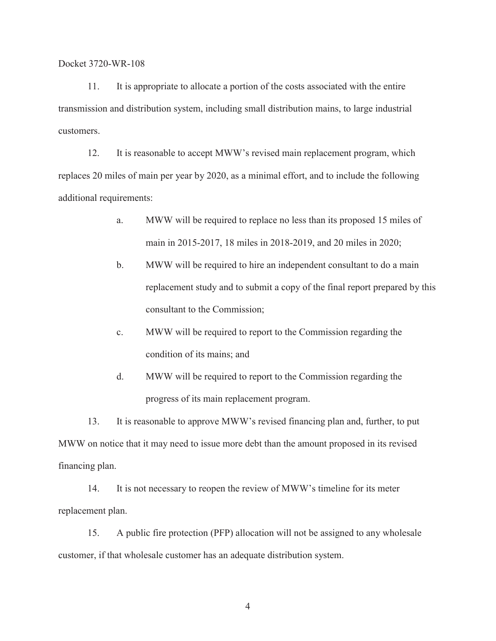11. It is appropriate to allocate a portion of the costs associated with the entire transmission and distribution system, including small distribution mains, to large industrial customers.

12. It is reasonable to accept MWW's revised main replacement program, which replaces 20 miles of main per year by 2020, as a minimal effort, and to include the following additional requirements:

- a. MWW will be required to replace no less than its proposed 15 miles of main in 2015-2017, 18 miles in 2018-2019, and 20 miles in 2020;
- b. MWW will be required to hire an independent consultant to do a main replacement study and to submit a copy of the final report prepared by this consultant to the Commission;
- c. MWW will be required to report to the Commission regarding the condition of its mains; and
- d. MWW will be required to report to the Commission regarding the progress of its main replacement program.

13. It is reasonable to approve MWW's revised financing plan and, further, to put MWW on notice that it may need to issue more debt than the amount proposed in its revised financing plan.

14. It is not necessary to reopen the review of MWW's timeline for its meter replacement plan.

15. A public fire protection (PFP) allocation will not be assigned to any wholesale customer, if that wholesale customer has an adequate distribution system.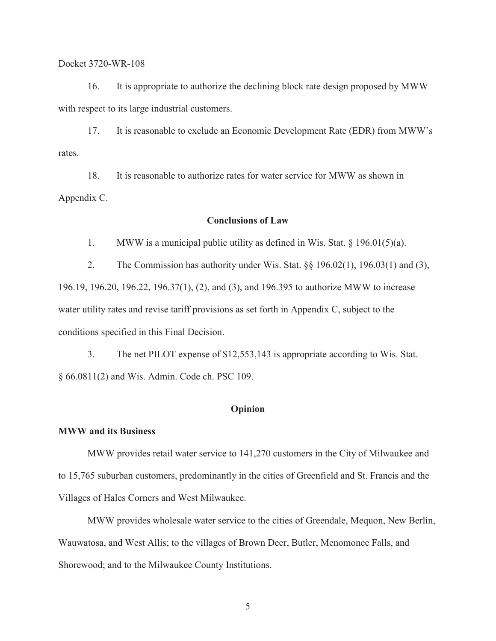16. It is appropriate to authorize the declining block rate design proposed by MWW with respect to its large industrial customers.

17. It is reasonable to exclude an Economic Development Rate (EDR) from MWW's rates.

18. It is reasonable to authorize rates for water service for MWW as shown in Appendix C.

## **Conclusions of Law**

1. MWW is a municipal public utility as defined in Wis. Stat.  $\S$  196.01(5)(a).

2. The Commission has authority under Wis. Stat. §§ 196.02(1), 196.03(1) and (3), 196.19, 196.20, 196.22, 196.37(1), (2), and (3), and 196.395 to authorize MWW to increase water utility rates and revise tariff provisions as set forth in Appendix C, subject to the conditions specified in this Final Decision.

3. The net PILOT expense of \$12,553,143 is appropriate according to Wis. Stat. § 66.0811(2) and Wis. Admin. Code ch. PSC 109.

## **Opinion**

# **MWW and its Business**

MWW provides retail water service to 141,270 customers in the City of Milwaukee and to 15,765 suburban customers, predominantly in the cities of Greenfield and St. Francis and the Villages of Hales Corners and West Milwaukee.

MWW provides wholesale water service to the cities of Greendale, Mequon, New Berlin, Wauwatosa, and West Allis; to the villages of Brown Deer, Butler, Menomonee Falls, and Shorewood; and to the Milwaukee County Institutions.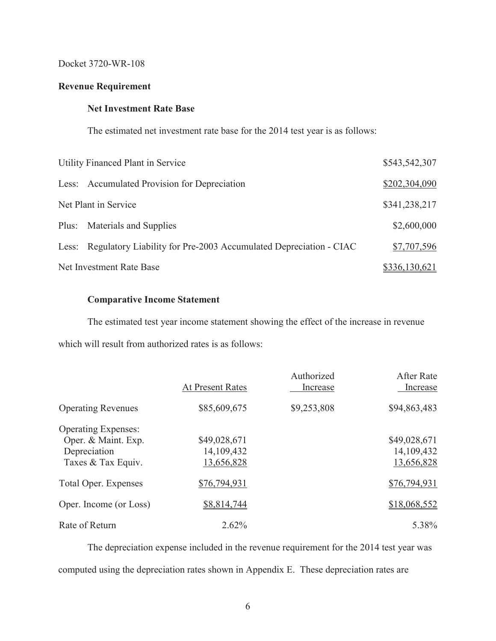# **Revenue Requirement**

# **Net Investment Rate Base**

The estimated net investment rate base for the 2014 test year is as follows:

| Utility Financed Plant in Service                                       | \$543,542,307 |
|-------------------------------------------------------------------------|---------------|
| Less: Accumulated Provision for Depreciation                            | \$202,304,090 |
| Net Plant in Service                                                    | \$341,238,217 |
| Plus: Materials and Supplies                                            | \$2,600,000   |
| Less: Regulatory Liability for Pre-2003 Accumulated Depreciation - CIAC | \$7,707,596   |
| Net Investment Rate Base                                                | \$336,130,621 |

# **Comparative Income Statement**

The estimated test year income statement showing the effect of the increase in revenue which will result from authorized rates is as follows:

|                             | <b>At Present Rates</b> | Authorized<br>Increase | After Rate<br>Increase |
|-----------------------------|-------------------------|------------------------|------------------------|
| <b>Operating Revenues</b>   | \$85,609,675            | \$9,253,808            | \$94,863,483           |
| <b>Operating Expenses:</b>  |                         |                        |                        |
| Oper. & Maint. Exp.         | \$49,028,671            |                        | \$49,028,671           |
| Depreciation                | 14, 109, 432            |                        | 14,109,432             |
| Taxes & Tax Equiv.          | 13,656,828              |                        | 13,656,828             |
| <b>Total Oper. Expenses</b> | \$76,794,931            |                        | \$76,794,931           |
| Oper. Income (or Loss)      | \$8,814,744             |                        | \$18,068,552           |
| Rate of Return              | 2.62%                   |                        | 5.38%                  |

The depreciation expense included in the revenue requirement for the 2014 test year was computed using the depreciation rates shown in Appendix E. These depreciation rates are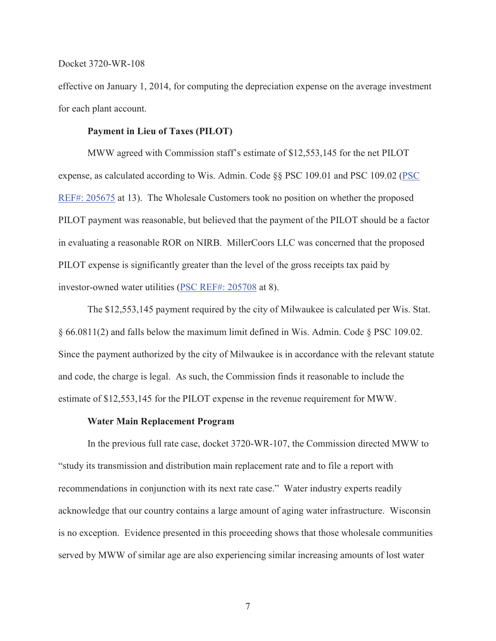effective on January 1, 2014, for computing the depreciation expense on the average investment for each plant account.

## **Payment in Lieu of Taxes (PILOT)**

MWW agreed with Commission staff's estimate of \$12,553,145 for the net PILOT expense, as calculated according to Wis. Admin. Code §§ PSC 109.01 and PSC 109.02 (PSC REF#: 205675 at 13). The Wholesale Customers took no position on whether the proposed PILOT payment was reasonable, but believed that the payment of the PILOT should be a factor in evaluating a reasonable ROR on NIRB. MillerCoors LLC was concerned that the proposed PILOT expense is significantly greater than the level of the gross receipts tax paid by investor-owned water utilities (PSC REF#: 205708 at 8).

The \$12,553,145 payment required by the city of Milwaukee is calculated per Wis. Stat. § 66.0811(2) and falls below the maximum limit defined in Wis. Admin. Code § PSC 109.02. Since the payment authorized by the city of Milwaukee is in accordance with the relevant statute and code, the charge is legal. As such, the Commission finds it reasonable to include the estimate of \$12,553,145 for the PILOT expense in the revenue requirement for MWW.

#### **Water Main Replacement Program**

In the previous full rate case, docket 3720-WR-107, the Commission directed MWW to "study its transmission and distribution main replacement rate and to file a report with recommendations in conjunction with its next rate case." Water industry experts readily acknowledge that our country contains a large amount of aging water infrastructure. Wisconsin is no exception. Evidence presented in this proceeding shows that those wholesale communities served by MWW of similar age are also experiencing similar increasing amounts of lost water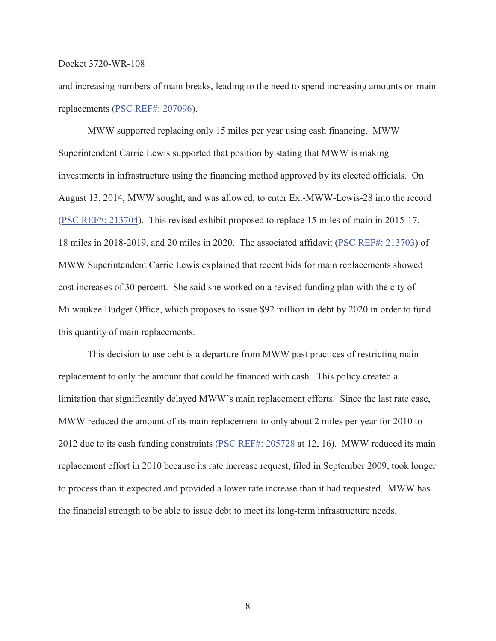and increasing numbers of main breaks, leading to the need to spend increasing amounts on main replacements (PSC REF#: 207096).

MWW supported replacing only 15 miles per year using cash financing. MWW Superintendent Carrie Lewis supported that position by stating that MWW is making investments in infrastructure using the financing method approved by its elected officials. On August 13, 2014, MWW sought, and was allowed, to enter Ex.-MWW-Lewis-28 into the record (PSC REF#: 213704). This revised exhibit proposed to replace 15 miles of main in 2015-17, 18 miles in 2018-2019, and 20 miles in 2020. The associated affidavit (PSC REF#: 213703) of MWW Superintendent Carrie Lewis explained that recent bids for main replacements showed cost increases of 30 percent. She said she worked on a revised funding plan with the city of Milwaukee Budget Office, which proposes to issue \$92 million in debt by 2020 in order to fund this quantity of main replacements.

This decision to use debt is a departure from MWW past practices of restricting main replacement to only the amount that could be financed with cash. This policy created a limitation that significantly delayed MWW's main replacement efforts. Since the last rate case, MWW reduced the amount of its main replacement to only about 2 miles per year for 2010 to 2012 due to its cash funding constraints (PSC REF#: 205728 at 12, 16). MWW reduced its main replacement effort in 2010 because its rate increase request, filed in September 2009, took longer to process than it expected and provided a lower rate increase than it had requested. MWW has the financial strength to be able to issue debt to meet its long-term infrastructure needs.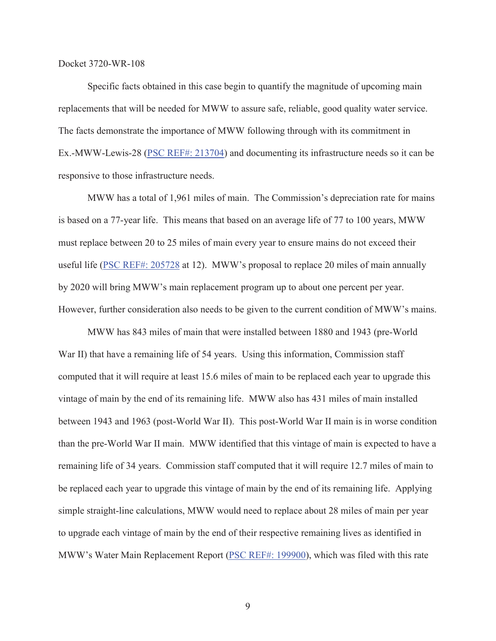Specific facts obtained in this case begin to quantify the magnitude of upcoming main replacements that will be needed for MWW to assure safe, reliable, good quality water service. The facts demonstrate the importance of MWW following through with its commitment in Ex.-MWW-Lewis-28 (PSC REF#: 213704) and documenting its infrastructure needs so it can be responsive to those infrastructure needs.

MWW has a total of 1,961 miles of main. The Commission's depreciation rate for mains is based on a 77-year life. This means that based on an average life of 77 to 100 years, MWW must replace between 20 to 25 miles of main every year to ensure mains do not exceed their useful life (PSC REF#: 205728 at 12). MWW's proposal to replace 20 miles of main annually by 2020 will bring MWW's main replacement program up to about one percent per year. However, further consideration also needs to be given to the current condition of MWW's mains.

MWW has 843 miles of main that were installed between 1880 and 1943 (pre-World War II) that have a remaining life of 54 years. Using this information, Commission staff computed that it will require at least 15.6 miles of main to be replaced each year to upgrade this vintage of main by the end of its remaining life. MWW also has 431 miles of main installed between 1943 and 1963 (post-World War II). This post-World War II main is in worse condition than the pre-World War II main. MWW identified that this vintage of main is expected to have a remaining life of 34 years. Commission staff computed that it will require 12.7 miles of main to be replaced each year to upgrade this vintage of main by the end of its remaining life. Applying simple straight-line calculations, MWW would need to replace about 28 miles of main per year to upgrade each vintage of main by the end of their respective remaining lives as identified in MWW's Water Main Replacement Report (PSC REF#: 199900), which was filed with this rate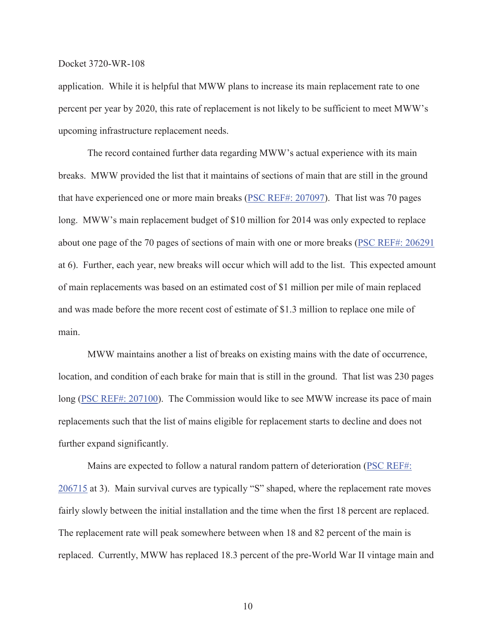application. While it is helpful that MWW plans to increase its main replacement rate to one percent per year by 2020, this rate of replacement is not likely to be sufficient to meet MWW's upcoming infrastructure replacement needs.

The record contained further data regarding MWW's actual experience with its main breaks. MWW provided the list that it maintains of sections of main that are still in the ground that have experienced one or more main breaks (PSC REF#: 207097). That list was 70 pages long. MWW's main replacement budget of \$10 million for 2014 was only expected to replace about one page of the 70 pages of sections of main with one or more breaks (PSC REF#: 206291 at 6). Further, each year, new breaks will occur which will add to the list. This expected amount of main replacements was based on an estimated cost of \$1 million per mile of main replaced and was made before the more recent cost of estimate of \$1.3 million to replace one mile of main.

MWW maintains another a list of breaks on existing mains with the date of occurrence, location, and condition of each brake for main that is still in the ground. That list was 230 pages long (PSC REF#: 207100). The Commission would like to see MWW increase its pace of main replacements such that the list of mains eligible for replacement starts to decline and does not further expand significantly.

Mains are expected to follow a natural random pattern of deterioration ( $\overline{PSC REF#}$ ) 206715 at 3). Main survival curves are typically "S" shaped, where the replacement rate moves fairly slowly between the initial installation and the time when the first 18 percent are replaced. The replacement rate will peak somewhere between when 18 and 82 percent of the main is replaced. Currently, MWW has replaced 18.3 percent of the pre-World War II vintage main and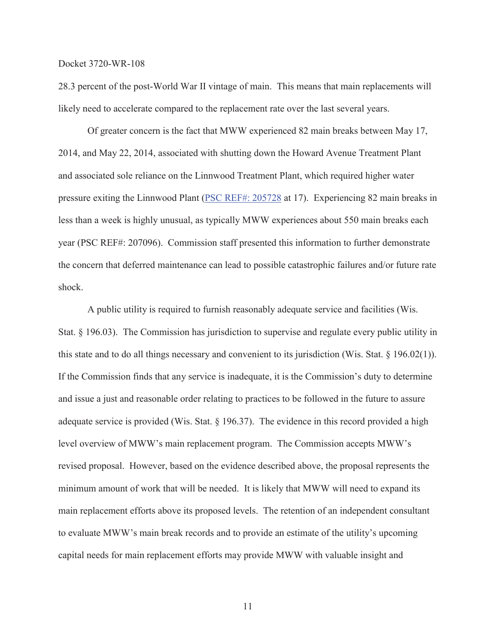28.3 percent of the post-World War II vintage of main. This means that main replacements will likely need to accelerate compared to the replacement rate over the last several years.

Of greater concern is the fact that MWW experienced 82 main breaks between May 17, 2014, and May 22, 2014, associated with shutting down the Howard Avenue Treatment Plant and associated sole reliance on the Linnwood Treatment Plant, which required higher water pressure exiting the Linnwood Plant (PSC REF#: 205728 at 17). Experiencing 82 main breaks in less than a week is highly unusual, as typically MWW experiences about 550 main breaks each year (PSC REF#: 207096). Commission staff presented this information to further demonstrate the concern that deferred maintenance can lead to possible catastrophic failures and/or future rate shock.

A public utility is required to furnish reasonably adequate service and facilities (Wis. Stat. § 196.03). The Commission has jurisdiction to supervise and regulate every public utility in this state and to do all things necessary and convenient to its jurisdiction (Wis. Stat.  $\S$  196.02(1)). If the Commission finds that any service is inadequate, it is the Commission's duty to determine and issue a just and reasonable order relating to practices to be followed in the future to assure adequate service is provided (Wis. Stat. § 196.37). The evidence in this record provided a high level overview of MWW's main replacement program. The Commission accepts MWW's revised proposal. However, based on the evidence described above, the proposal represents the minimum amount of work that will be needed. It is likely that MWW will need to expand its main replacement efforts above its proposed levels. The retention of an independent consultant to evaluate MWW's main break records and to provide an estimate of the utility's upcoming capital needs for main replacement efforts may provide MWW with valuable insight and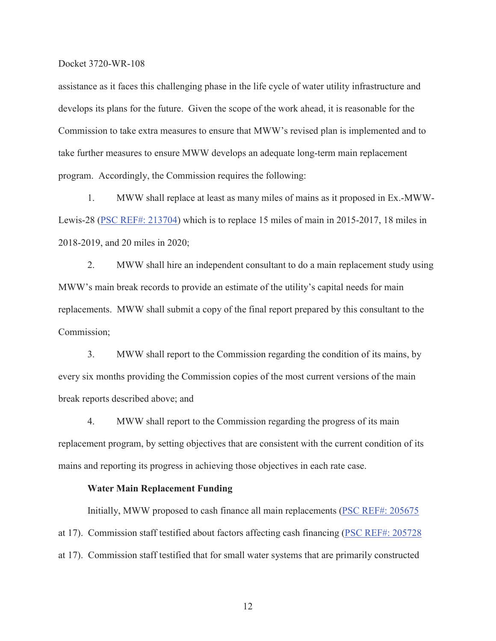assistance as it faces this challenging phase in the life cycle of water utility infrastructure and develops its plans for the future. Given the scope of the work ahead, it is reasonable for the Commission to take extra measures to ensure that MWW's revised plan is implemented and to take further measures to ensure MWW develops an adequate long-term main replacement program. Accordingly, the Commission requires the following:

1. MWW shall replace at least as many miles of mains as it proposed in Ex.-MWW-Lewis-28 (PSC REF#: 213704) which is to replace 15 miles of main in 2015-2017, 18 miles in 2018-2019, and 20 miles in 2020;

2. MWW shall hire an independent consultant to do a main replacement study using MWW's main break records to provide an estimate of the utility's capital needs for main replacements. MWW shall submit a copy of the final report prepared by this consultant to the Commission;

3. MWW shall report to the Commission regarding the condition of its mains, by every six months providing the Commission copies of the most current versions of the main break reports described above; and

4. MWW shall report to the Commission regarding the progress of its main replacement program, by setting objectives that are consistent with the current condition of its mains and reporting its progress in achieving those objectives in each rate case.

## **Water Main Replacement Funding**

Initially, MWW proposed to cash finance all main replacements (PSC REF#: 205675 at 17). Commission staff testified about factors affecting cash financing (PSC REF#: 205728 at 17). Commission staff testified that for small water systems that are primarily constructed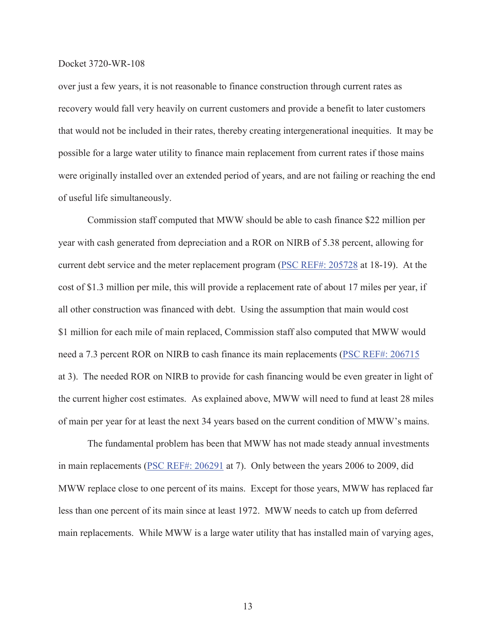over just a few years, it is not reasonable to finance construction through current rates as recovery would fall very heavily on current customers and provide a benefit to later customers that would not be included in their rates, thereby creating intergenerational inequities. It may be possible for a large water utility to finance main replacement from current rates if those mains were originally installed over an extended period of years, and are not failing or reaching the end of useful life simultaneously.

Commission staff computed that MWW should be able to cash finance \$22 million per year with cash generated from depreciation and a ROR on NIRB of 5.38 percent, allowing for current debt service and the meter replacement program (PSC REF#: 205728 at 18-19). At the cost of \$1.3 million per mile, this will provide a replacement rate of about 17 miles per year, if all other construction was financed with debt. Using the assumption that main would cost \$1 million for each mile of main replaced, Commission staff also computed that MWW would need a 7.3 percent ROR on NIRB to cash finance its main replacements (PSC REF#: 206715 at 3). The needed ROR on NIRB to provide for cash financing would be even greater in light of the current higher cost estimates. As explained above, MWW will need to fund at least 28 miles of main per year for at least the next 34 years based on the current condition of MWW's mains.

The fundamental problem has been that MWW has not made steady annual investments in main replacements (PSC REF#: 206291 at 7). Only between the years 2006 to 2009, did MWW replace close to one percent of its mains. Except for those years, MWW has replaced far less than one percent of its main since at least 1972. MWW needs to catch up from deferred main replacements. While MWW is a large water utility that has installed main of varying ages,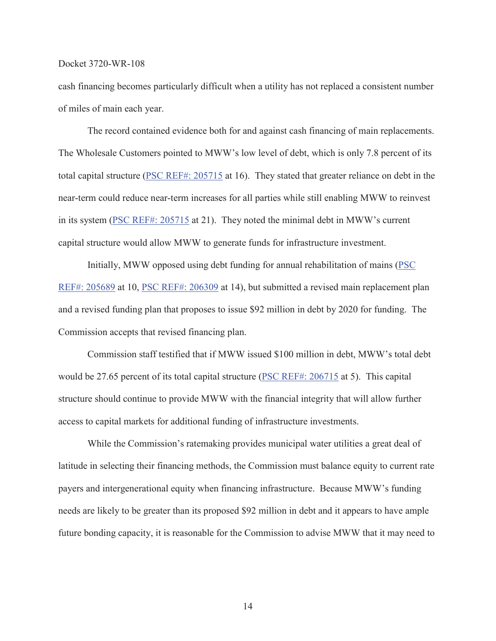cash financing becomes particularly difficult when a utility has not replaced a consistent number of miles of main each year.

The record contained evidence both for and against cash financing of main replacements. The Wholesale Customers pointed to MWW's low level of debt, which is only 7.8 percent of its total capital structure (PSC REF#: 205715 at 16). They stated that greater reliance on debt in the near-term could reduce near-term increases for all parties while still enabling MWW to reinvest in its system (PSC REF#: 205715 at 21). They noted the minimal debt in MWW's current capital structure would allow MWW to generate funds for infrastructure investment.

Initially, MWW opposed using debt funding for annual rehabilitation of mains (PSC REF#: 205689 at 10, PSC REF#: 206309 at 14), but submitted a revised main replacement plan and a revised funding plan that proposes to issue \$92 million in debt by 2020 for funding. The Commission accepts that revised financing plan.

Commission staff testified that if MWW issued \$100 million in debt, MWW's total debt would be 27.65 percent of its total capital structure (PSC REF#: 206715 at 5). This capital structure should continue to provide MWW with the financial integrity that will allow further access to capital markets for additional funding of infrastructure investments.

While the Commission's ratemaking provides municipal water utilities a great deal of latitude in selecting their financing methods, the Commission must balance equity to current rate payers and intergenerational equity when financing infrastructure. Because MWW's funding needs are likely to be greater than its proposed \$92 million in debt and it appears to have ample future bonding capacity, it is reasonable for the Commission to advise MWW that it may need to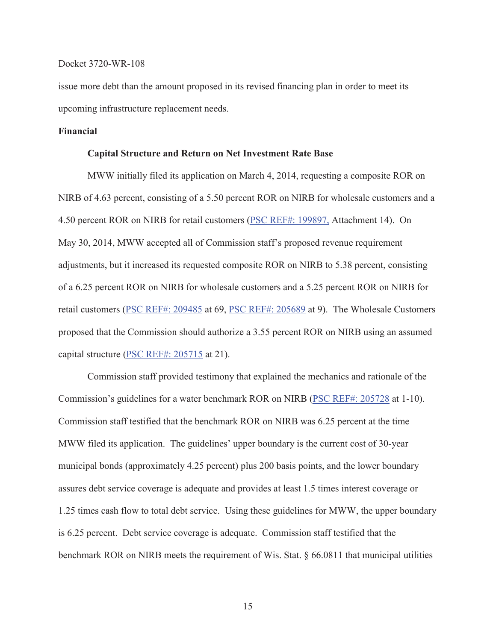issue more debt than the amount proposed in its revised financing plan in order to meet its upcoming infrastructure replacement needs.

# **Financial**

## **Capital Structure and Return on Net Investment Rate Base**

MWW initially filed its application on March 4, 2014, requesting a composite ROR on NIRB of 4.63 percent, consisting of a 5.50 percent ROR on NIRB for wholesale customers and a 4.50 percent ROR on NIRB for retail customers (PSC REF#: 199897, Attachment 14). On May 30, 2014, MWW accepted all of Commission staff's proposed revenue requirement adjustments, but it increased its requested composite ROR on NIRB to 5.38 percent, consisting of a 6.25 percent ROR on NIRB for wholesale customers and a 5.25 percent ROR on NIRB for retail customers (PSC REF#: 209485 at 69, PSC REF#: 205689 at 9). The Wholesale Customers proposed that the Commission should authorize a 3.55 percent ROR on NIRB using an assumed capital structure (PSC REF#: 205715 at 21).

Commission staff provided testimony that explained the mechanics and rationale of the Commission's guidelines for a water benchmark ROR on NIRB (PSC REF#: 205728 at 1-10). Commission staff testified that the benchmark ROR on NIRB was 6.25 percent at the time MWW filed its application. The guidelines' upper boundary is the current cost of 30-year municipal bonds (approximately 4.25 percent) plus 200 basis points, and the lower boundary assures debt service coverage is adequate and provides at least 1.5 times interest coverage or 1.25 times cash flow to total debt service. Using these guidelines for MWW, the upper boundary is 6.25 percent. Debt service coverage is adequate. Commission staff testified that the benchmark ROR on NIRB meets the requirement of Wis. Stat. § 66.0811 that municipal utilities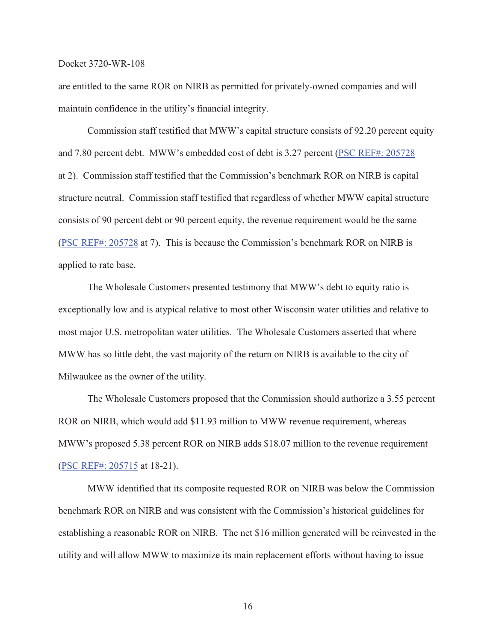are entitled to the same ROR on NIRB as permitted for privately-owned companies and will maintain confidence in the utility's financial integrity.

Commission staff testified that MWW's capital structure consists of 92.20 percent equity and 7.80 percent debt. MWW's embedded cost of debt is 3.27 percent (PSC REF#: 205728 at 2). Commission staff testified that the Commission's benchmark ROR on NIRB is capital structure neutral. Commission staff testified that regardless of whether MWW capital structure consists of 90 percent debt or 90 percent equity, the revenue requirement would be the same (PSC REF#: 205728 at 7). This is because the Commission's benchmark ROR on NIRB is applied to rate base.

The Wholesale Customers presented testimony that MWW's debt to equity ratio is exceptionally low and is atypical relative to most other Wisconsin water utilities and relative to most major U.S. metropolitan water utilities. The Wholesale Customers asserted that where MWW has so little debt, the vast majority of the return on NIRB is available to the city of Milwaukee as the owner of the utility.

The Wholesale Customers proposed that the Commission should authorize a 3.55 percent ROR on NIRB, which would add \$11.93 million to MWW revenue requirement, whereas MWW's proposed 5.38 percent ROR on NIRB adds \$18.07 million to the revenue requirement (PSC REF#: 205715 at 18-21).

MWW identified that its composite requested ROR on NIRB was below the Commission benchmark ROR on NIRB and was consistent with the Commission's historical guidelines for establishing a reasonable ROR on NIRB. The net \$16 million generated will be reinvested in the utility and will allow MWW to maximize its main replacement efforts without having to issue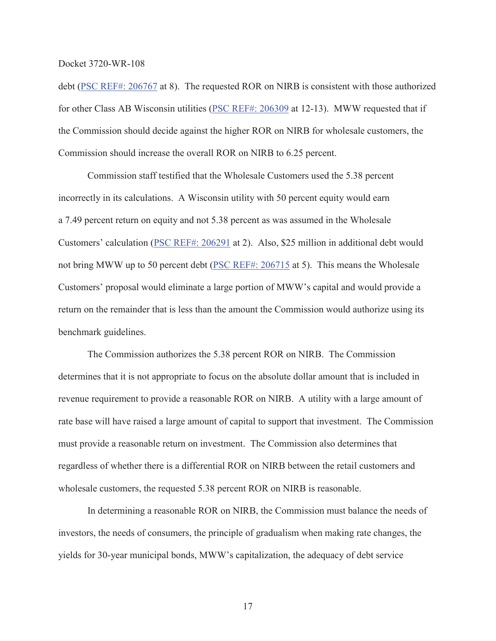debt (PSC REF#: 206767 at 8). The requested ROR on NIRB is consistent with those authorized for other Class AB Wisconsin utilities (PSC REF#: 206309 at 12-13). MWW requested that if the Commission should decide against the higher ROR on NIRB for wholesale customers, the Commission should increase the overall ROR on NIRB to 6.25 percent.

Commission staff testified that the Wholesale Customers used the 5.38 percent incorrectly in its calculations. A Wisconsin utility with 50 percent equity would earn a 7.49 percent return on equity and not 5.38 percent as was assumed in the Wholesale Customers' calculation (PSC REF#: 206291 at 2). Also, \$25 million in additional debt would not bring MWW up to 50 percent debt (PSC REF#: 206715 at 5). This means the Wholesale Customers' proposal would eliminate a large portion of MWW's capital and would provide a return on the remainder that is less than the amount the Commission would authorize using its benchmark guidelines.

The Commission authorizes the 5.38 percent ROR on NIRB. The Commission determines that it is not appropriate to focus on the absolute dollar amount that is included in revenue requirement to provide a reasonable ROR on NIRB. A utility with a large amount of rate base will have raised a large amount of capital to support that investment. The Commission must provide a reasonable return on investment. The Commission also determines that regardless of whether there is a differential ROR on NIRB between the retail customers and wholesale customers, the requested 5.38 percent ROR on NIRB is reasonable.

In determining a reasonable ROR on NIRB, the Commission must balance the needs of investors, the needs of consumers, the principle of gradualism when making rate changes, the yields for 30-year municipal bonds, MWW's capitalization, the adequacy of debt service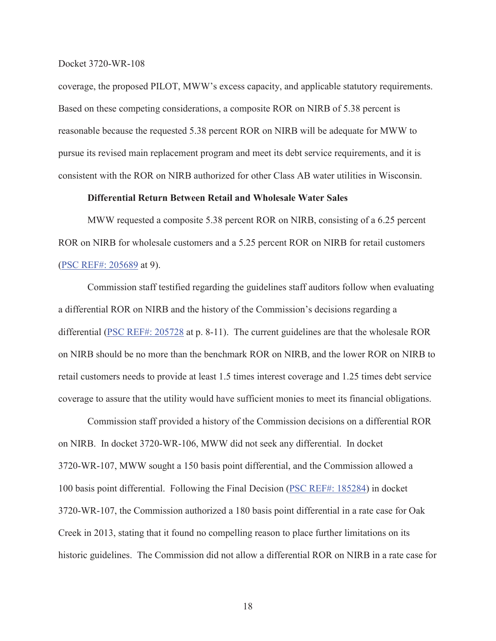coverage, the proposed PILOT, MWW's excess capacity, and applicable statutory requirements. Based on these competing considerations, a composite ROR on NIRB of 5.38 percent is reasonable because the requested 5.38 percent ROR on NIRB will be adequate for MWW to pursue its revised main replacement program and meet its debt service requirements, and it is consistent with the ROR on NIRB authorized for other Class AB water utilities in Wisconsin.

# **Differential Return Between Retail and Wholesale Water Sales**

MWW requested a composite 5.38 percent ROR on NIRB, consisting of a 6.25 percent ROR on NIRB for wholesale customers and a 5.25 percent ROR on NIRB for retail customers (PSC REF#: 205689 at 9).

Commission staff testified regarding the guidelines staff auditors follow when evaluating a differential ROR on NIRB and the history of the Commission's decisions regarding a differential (PSC REF#: 205728 at p. 8-11). The current guidelines are that the wholesale ROR on NIRB should be no more than the benchmark ROR on NIRB, and the lower ROR on NIRB to retail customers needs to provide at least 1.5 times interest coverage and 1.25 times debt service coverage to assure that the utility would have sufficient monies to meet its financial obligations.

Commission staff provided a history of the Commission decisions on a differential ROR on NIRB. In docket 3720-WR-106, MWW did not seek any differential. In docket 3720-WR-107, MWW sought a 150 basis point differential, and the Commission allowed a 100 basis point differential. Following the Final Decision (PSC REF#: 185284) in docket 3720-WR-107, the Commission authorized a 180 basis point differential in a rate case for Oak Creek in 2013, stating that it found no compelling reason to place further limitations on its historic guidelines. The Commission did not allow a differential ROR on NIRB in a rate case for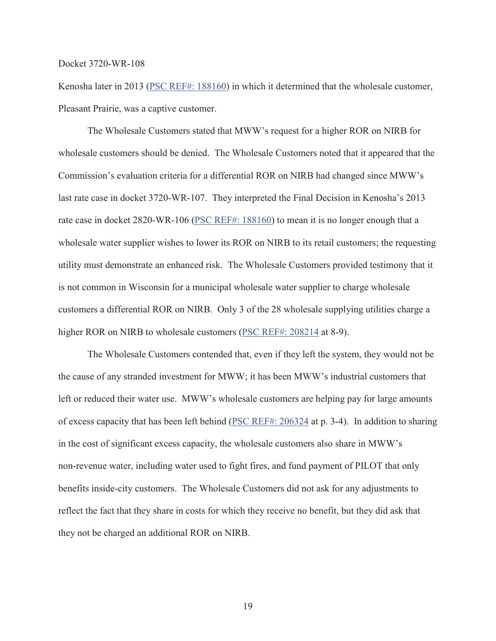Kenosha later in 2013 (PSC REF#: 188160) in which it determined that the wholesale customer, Pleasant Prairie, was a captive customer.

The Wholesale Customers stated that MWW's request for a higher ROR on NIRB for wholesale customers should be denied. The Wholesale Customers noted that it appeared that the Commission's evaluation criteria for a differential ROR on NIRB had changed since MWW's last rate case in docket 3720-WR-107. They interpreted the Final Decision in Kenosha's 2013 rate case in docket 2820-WR-106 (PSC REF#: 188160) to mean it is no longer enough that a wholesale water supplier wishes to lower its ROR on NIRB to its retail customers; the requesting utility must demonstrate an enhanced risk. The Wholesale Customers provided testimony that it is not common in Wisconsin for a municipal wholesale water supplier to charge wholesale customers a differential ROR on NIRB. Only 3 of the 28 wholesale supplying utilities charge a higher ROR on NIRB to wholesale customers (PSC REF#: 208214 at 8-9).

The Wholesale Customers contended that, even if they left the system, they would not be the cause of any stranded investment for MWW; it has been MWW's industrial customers that left or reduced their water use. MWW's wholesale customers are helping pay for large amounts of excess capacity that has been left behind (PSC REF#: 206324 at p. 3-4). In addition to sharing in the cost of significant excess capacity, the wholesale customers also share in MWW's non-revenue water, including water used to fight fires, and fund payment of PILOT that only benefits inside-city customers. The Wholesale Customers did not ask for any adjustments to reflect the fact that they share in costs for which they receive no benefit, but they did ask that they not be charged an additional ROR on NIRB.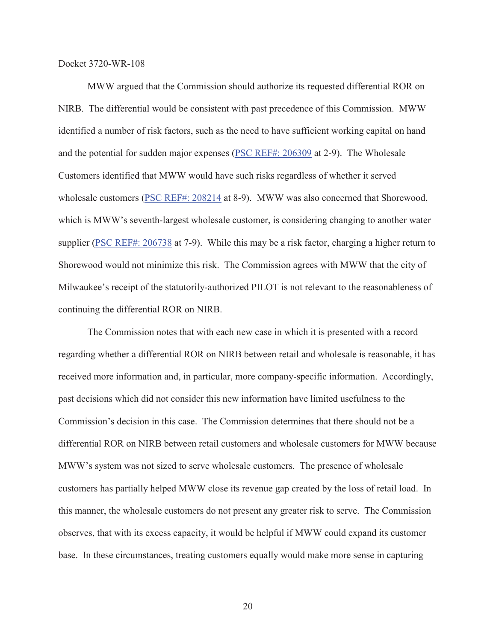MWW argued that the Commission should authorize its requested differential ROR on NIRB. The differential would be consistent with past precedence of this Commission. MWW identified a number of risk factors, such as the need to have sufficient working capital on hand and the potential for sudden major expenses (PSC REF#: 206309 at 2-9). The Wholesale Customers identified that MWW would have such risks regardless of whether it served wholesale customers (PSC REF#: 208214 at 8-9). MWW was also concerned that Shorewood, which is MWW's seventh-largest wholesale customer, is considering changing to another water supplier (PSC REF#: 206738 at 7-9). While this may be a risk factor, charging a higher return to Shorewood would not minimize this risk. The Commission agrees with MWW that the city of Milwaukee's receipt of the statutorily-authorized PILOT is not relevant to the reasonableness of continuing the differential ROR on NIRB.

The Commission notes that with each new case in which it is presented with a record regarding whether a differential ROR on NIRB between retail and wholesale is reasonable, it has received more information and, in particular, more company-specific information. Accordingly, past decisions which did not consider this new information have limited usefulness to the Commission's decision in this case. The Commission determines that there should not be a differential ROR on NIRB between retail customers and wholesale customers for MWW because MWW's system was not sized to serve wholesale customers. The presence of wholesale customers has partially helped MWW close its revenue gap created by the loss of retail load. In this manner, the wholesale customers do not present any greater risk to serve. The Commission observes, that with its excess capacity, it would be helpful if MWW could expand its customer base. In these circumstances, treating customers equally would make more sense in capturing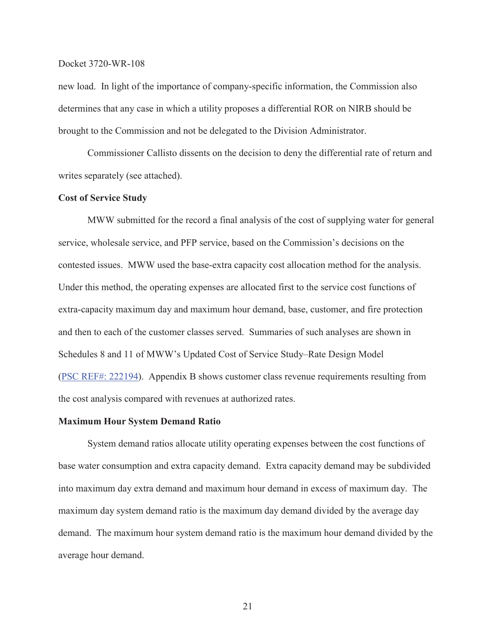new load. In light of the importance of company-specific information, the Commission also determines that any case in which a utility proposes a differential ROR on NIRB should be brought to the Commission and not be delegated to the Division Administrator.

Commissioner Callisto dissents on the decision to deny the differential rate of return and writes separately (see attached).

## **Cost of Service Study**

MWW submitted for the record a final analysis of the cost of supplying water for general service, wholesale service, and PFP service, based on the Commission's decisions on the contested issues. MWW used the base-extra capacity cost allocation method for the analysis. Under this method, the operating expenses are allocated first to the service cost functions of extra-capacity maximum day and maximum hour demand, base, customer, and fire protection and then to each of the customer classes served. Summaries of such analyses are shown in Schedules 8 and 11 of MWW's Updated Cost of Service Study–Rate Design Model (PSC REF#: 222194). Appendix B shows customer class revenue requirements resulting from the cost analysis compared with revenues at authorized rates.

## **Maximum Hour System Demand Ratio**

System demand ratios allocate utility operating expenses between the cost functions of base water consumption and extra capacity demand. Extra capacity demand may be subdivided into maximum day extra demand and maximum hour demand in excess of maximum day. The maximum day system demand ratio is the maximum day demand divided by the average day demand. The maximum hour system demand ratio is the maximum hour demand divided by the average hour demand.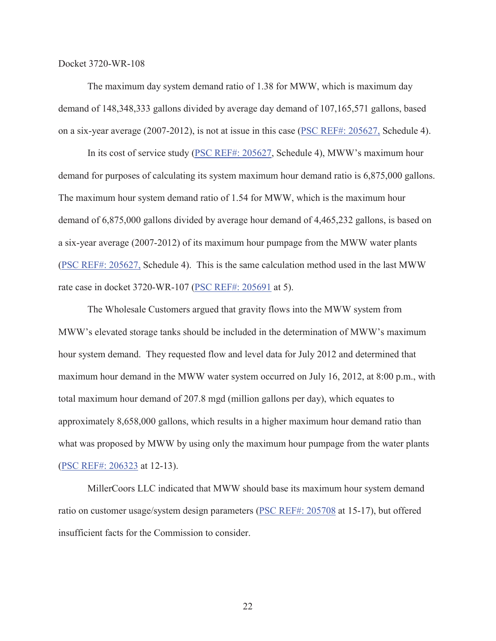The maximum day system demand ratio of 1.38 for MWW, which is maximum day demand of 148,348,333 gallons divided by average day demand of 107,165,571 gallons, based on a six-year average (2007-2012), is not at issue in this case (PSC REF#: 205627, Schedule 4).

In its cost of service study (PSC REF#: 205627, Schedule 4), MWW's maximum hour demand for purposes of calculating its system maximum hour demand ratio is 6,875,000 gallons. The maximum hour system demand ratio of 1.54 for MWW, which is the maximum hour demand of 6,875,000 gallons divided by average hour demand of 4,465,232 gallons, is based on a six-year average (2007-2012) of its maximum hour pumpage from the MWW water plants (PSC REF#: 205627, Schedule 4). This is the same calculation method used in the last MWW rate case in docket 3720-WR-107 (PSC REF#: 205691 at 5).

The Wholesale Customers argued that gravity flows into the MWW system from MWW's elevated storage tanks should be included in the determination of MWW's maximum hour system demand. They requested flow and level data for July 2012 and determined that maximum hour demand in the MWW water system occurred on July 16, 2012, at 8:00 p.m., with total maximum hour demand of 207.8 mgd (million gallons per day), which equates to approximately 8,658,000 gallons, which results in a higher maximum hour demand ratio than what was proposed by MWW by using only the maximum hour pumpage from the water plants (PSC REF#: 206323 at 12-13).

MillerCoors LLC indicated that MWW should base its maximum hour system demand ratio on customer usage/system design parameters (PSC REF#: 205708 at 15-17), but offered insufficient facts for the Commission to consider.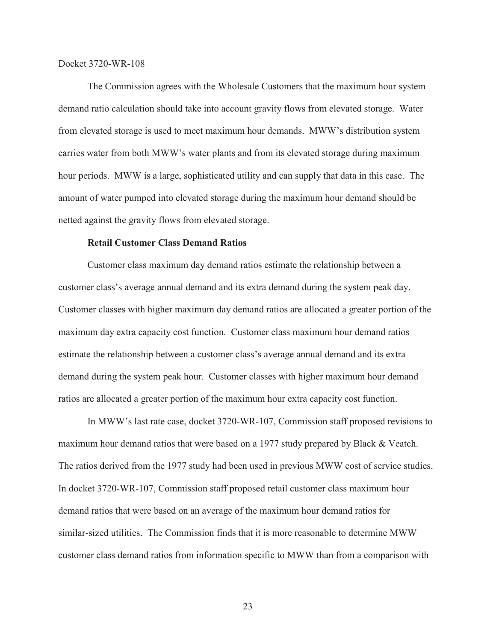The Commission agrees with the Wholesale Customers that the maximum hour system demand ratio calculation should take into account gravity flows from elevated storage. Water from elevated storage is used to meet maximum hour demands. MWW's distribution system carries water from both MWW's water plants and from its elevated storage during maximum hour periods. MWW is a large, sophisticated utility and can supply that data in this case. The amount of water pumped into elevated storage during the maximum hour demand should be netted against the gravity flows from elevated storage.

# **Retail Customer Class Demand Ratios**

Customer class maximum day demand ratios estimate the relationship between a customer class's average annual demand and its extra demand during the system peak day. Customer classes with higher maximum day demand ratios are allocated a greater portion of the maximum day extra capacity cost function. Customer class maximum hour demand ratios estimate the relationship between a customer class's average annual demand and its extra demand during the system peak hour. Customer classes with higher maximum hour demand ratios are allocated a greater portion of the maximum hour extra capacity cost function.

In MWW's last rate case, docket 3720-WR-107, Commission staff proposed revisions to maximum hour demand ratios that were based on a 1977 study prepared by Black & Veatch. The ratios derived from the 1977 study had been used in previous MWW cost of service studies. In docket 3720-WR-107, Commission staff proposed retail customer class maximum hour demand ratios that were based on an average of the maximum hour demand ratios for similar-sized utilities. The Commission finds that it is more reasonable to determine MWW customer class demand ratios from information specific to MWW than from a comparison with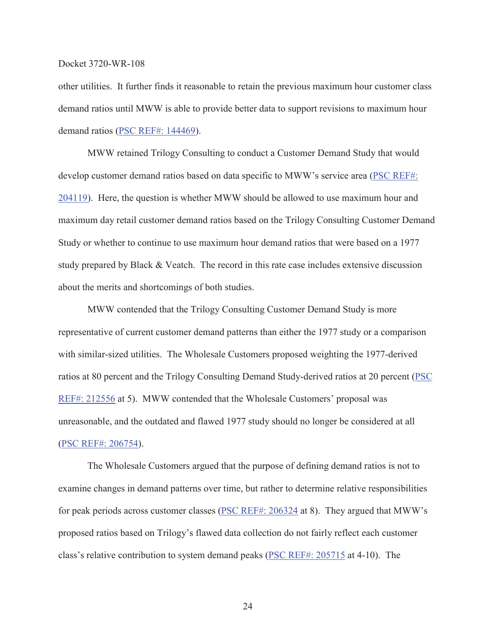other utilities. It further finds it reasonable to retain the previous maximum hour customer class demand ratios until MWW is able to provide better data to support revisions to maximum hour demand ratios (PSC REF#: 144469).

MWW retained Trilogy Consulting to conduct a Customer Demand Study that would develop customer demand ratios based on data specific to MWW's service area (PSC REF#: 204119). Here, the question is whether MWW should be allowed to use maximum hour and maximum day retail customer demand ratios based on the Trilogy Consulting Customer Demand Study or whether to continue to use maximum hour demand ratios that were based on a 1977 study prepared by Black & Veatch. The record in this rate case includes extensive discussion about the merits and shortcomings of both studies.

MWW contended that the Trilogy Consulting Customer Demand Study is more representative of current customer demand patterns than either the 1977 study or a comparison with similar-sized utilities. The Wholesale Customers proposed weighting the 1977-derived ratios at 80 percent and the Trilogy Consulting Demand Study-derived ratios at 20 percent (PSC REF#: 212556 at 5). MWW contended that the Wholesale Customers' proposal was unreasonable, and the outdated and flawed 1977 study should no longer be considered at all (PSC REF#: 206754).

The Wholesale Customers argued that the purpose of defining demand ratios is not to examine changes in demand patterns over time, but rather to determine relative responsibilities for peak periods across customer classes (*PSC REF#: 206324* at 8). They argued that MWW's proposed ratios based on Trilogy's flawed data collection do not fairly reflect each customer class's relative contribution to system demand peaks (PSC REF#: 205715 at 4-10). The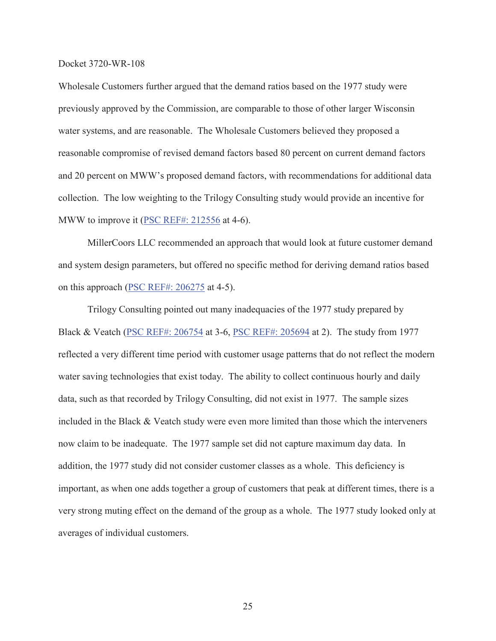Wholesale Customers further argued that the demand ratios based on the 1977 study were previously approved by the Commission, are comparable to those of other larger Wisconsin water systems, and are reasonable. The Wholesale Customers believed they proposed a reasonable compromise of revised demand factors based 80 percent on current demand factors and 20 percent on MWW's proposed demand factors, with recommendations for additional data collection. The low weighting to the Trilogy Consulting study would provide an incentive for MWW to improve it (PSC REF#: 212556 at 4-6).

MillerCoors LLC recommended an approach that would look at future customer demand and system design parameters, but offered no specific method for deriving demand ratios based on this approach (PSC REF#: 206275 at 4-5).

Trilogy Consulting pointed out many inadequacies of the 1977 study prepared by Black & Veatch (PSC REF#: 206754 at 3-6, PSC REF#: 205694 at 2). The study from 1977 reflected a very different time period with customer usage patterns that do not reflect the modern water saving technologies that exist today. The ability to collect continuous hourly and daily data, such as that recorded by Trilogy Consulting, did not exist in 1977. The sample sizes included in the Black & Veatch study were even more limited than those which the interveners now claim to be inadequate. The 1977 sample set did not capture maximum day data. In addition, the 1977 study did not consider customer classes as a whole. This deficiency is important, as when one adds together a group of customers that peak at different times, there is a very strong muting effect on the demand of the group as a whole. The 1977 study looked only at averages of individual customers.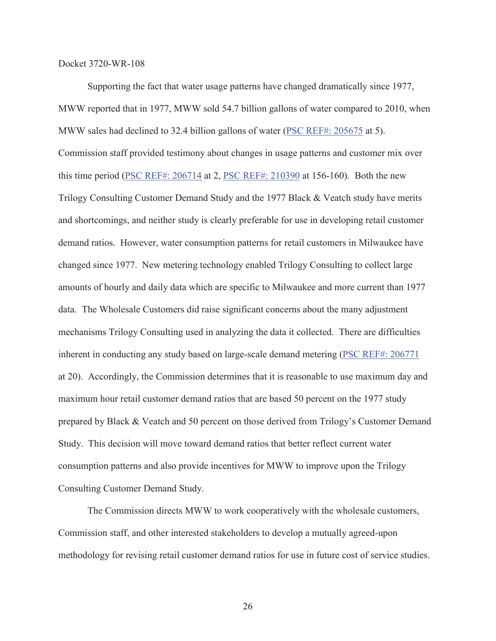Supporting the fact that water usage patterns have changed dramatically since 1977, MWW reported that in 1977, MWW sold 54.7 billion gallons of water compared to 2010, when MWW sales had declined to 32.4 billion gallons of water (PSC REF#: 205675 at 5). Commission staff provided testimony about changes in usage patterns and customer mix over this time period (PSC REF#: 206714 at 2, PSC REF#: 210390 at 156-160). Both the new Trilogy Consulting Customer Demand Study and the 1977 Black & Veatch study have merits and shortcomings, and neither study is clearly preferable for use in developing retail customer demand ratios. However, water consumption patterns for retail customers in Milwaukee have changed since 1977. New metering technology enabled Trilogy Consulting to collect large amounts of hourly and daily data which are specific to Milwaukee and more current than 1977 data. The Wholesale Customers did raise significant concerns about the many adjustment mechanisms Trilogy Consulting used in analyzing the data it collected. There are difficulties inherent in conducting any study based on large-scale demand metering (PSC REF#: 206771 at 20). Accordingly, the Commission determines that it is reasonable to use maximum day and maximum hour retail customer demand ratios that are based 50 percent on the 1977 study prepared by Black & Veatch and 50 percent on those derived from Trilogy's Customer Demand Study. This decision will move toward demand ratios that better reflect current water consumption patterns and also provide incentives for MWW to improve upon the Trilogy Consulting Customer Demand Study.

The Commission directs MWW to work cooperatively with the wholesale customers, Commission staff, and other interested stakeholders to develop a mutually agreed-upon methodology for revising retail customer demand ratios for use in future cost of service studies.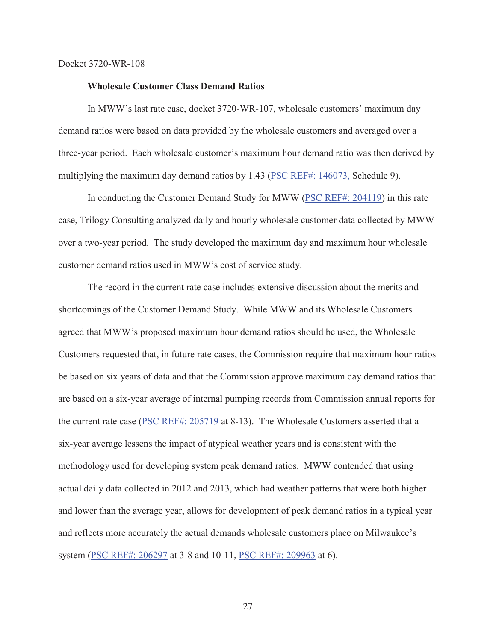#### **Wholesale Customer Class Demand Ratios**

In MWW's last rate case, docket 3720-WR-107, wholesale customers' maximum day demand ratios were based on data provided by the wholesale customers and averaged over a three-year period. Each wholesale customer's maximum hour demand ratio was then derived by multiplying the maximum day demand ratios by 1.43 (PSC REF#: 146073, Schedule 9).

In conducting the Customer Demand Study for MWW (PSC REF#: 204119) in this rate case, Trilogy Consulting analyzed daily and hourly wholesale customer data collected by MWW over a two-year period. The study developed the maximum day and maximum hour wholesale customer demand ratios used in MWW's cost of service study.

The record in the current rate case includes extensive discussion about the merits and shortcomings of the Customer Demand Study. While MWW and its Wholesale Customers agreed that MWW's proposed maximum hour demand ratios should be used, the Wholesale Customers requested that, in future rate cases, the Commission require that maximum hour ratios be based on six years of data and that the Commission approve maximum day demand ratios that are based on a six-year average of internal pumping records from Commission annual reports for the current rate case (PSC REF#: 205719 at 8-13). The Wholesale Customers asserted that a six-year average lessens the impact of atypical weather years and is consistent with the methodology used for developing system peak demand ratios. MWW contended that using actual daily data collected in 2012 and 2013, which had weather patterns that were both higher and lower than the average year, allows for development of peak demand ratios in a typical year and reflects more accurately the actual demands wholesale customers place on Milwaukee's system (PSC REF#: 206297 at 3-8 and 10-11, PSC REF#: 209963 at 6).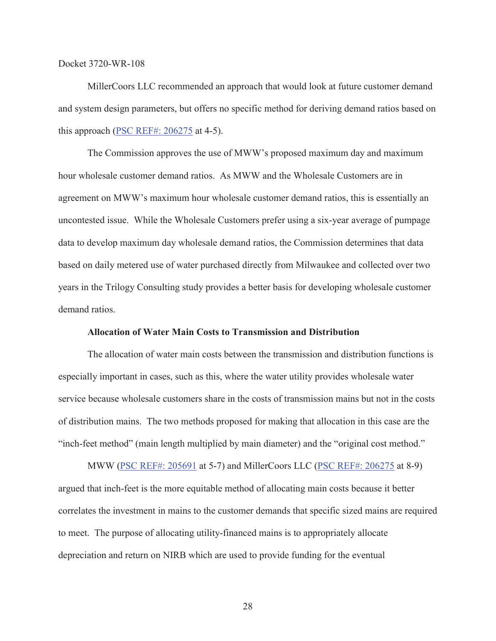MillerCoors LLC recommended an approach that would look at future customer demand and system design parameters, but offers no specific method for deriving demand ratios based on this approach (PSC REF#: 206275 at 4-5).

The Commission approves the use of MWW's proposed maximum day and maximum hour wholesale customer demand ratios. As MWW and the Wholesale Customers are in agreement on MWW's maximum hour wholesale customer demand ratios, this is essentially an uncontested issue. While the Wholesale Customers prefer using a six-year average of pumpage data to develop maximum day wholesale demand ratios, the Commission determines that data based on daily metered use of water purchased directly from Milwaukee and collected over two years in the Trilogy Consulting study provides a better basis for developing wholesale customer demand ratios.

#### **Allocation of Water Main Costs to Transmission and Distribution**

The allocation of water main costs between the transmission and distribution functions is especially important in cases, such as this, where the water utility provides wholesale water service because wholesale customers share in the costs of transmission mains but not in the costs of distribution mains. The two methods proposed for making that allocation in this case are the "inch-feet method" (main length multiplied by main diameter) and the "original cost method."

MWW (PSC REF#: 205691 at 5-7) and MillerCoors LLC (PSC REF#: 206275 at 8-9) argued that inch-feet is the more equitable method of allocating main costs because it better correlates the investment in mains to the customer demands that specific sized mains are required to meet. The purpose of allocating utility-financed mains is to appropriately allocate depreciation and return on NIRB which are used to provide funding for the eventual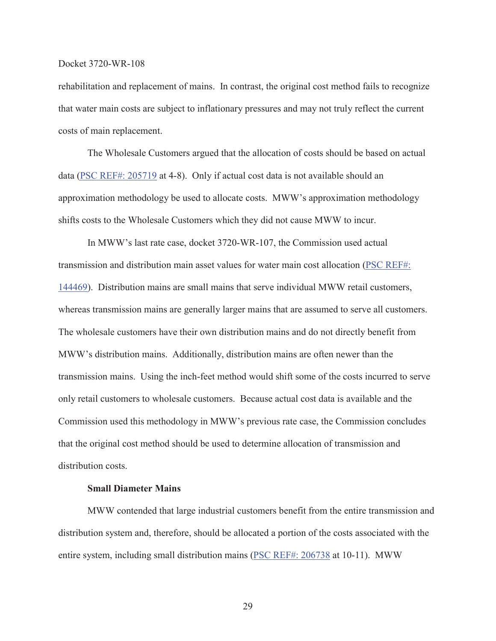rehabilitation and replacement of mains. In contrast, the original cost method fails to recognize that water main costs are subject to inflationary pressures and may not truly reflect the current costs of main replacement.

The Wholesale Customers argued that the allocation of costs should be based on actual data (PSC REF#: 205719 at 4-8). Only if actual cost data is not available should an approximation methodology be used to allocate costs. MWW's approximation methodology shifts costs to the Wholesale Customers which they did not cause MWW to incur.

In MWW's last rate case, docket 3720-WR-107, the Commission used actual transmission and distribution main asset values for water main cost allocation (PSC REF#: 144469). Distribution mains are small mains that serve individual MWW retail customers, whereas transmission mains are generally larger mains that are assumed to serve all customers. The wholesale customers have their own distribution mains and do not directly benefit from MWW's distribution mains. Additionally, distribution mains are often newer than the transmission mains. Using the inch-feet method would shift some of the costs incurred to serve only retail customers to wholesale customers. Because actual cost data is available and the Commission used this methodology in MWW's previous rate case, the Commission concludes that the original cost method should be used to determine allocation of transmission and distribution costs.

## **Small Diameter Mains**

MWW contended that large industrial customers benefit from the entire transmission and distribution system and, therefore, should be allocated a portion of the costs associated with the entire system, including small distribution mains (PSC REF#: 206738 at 10-11). MWW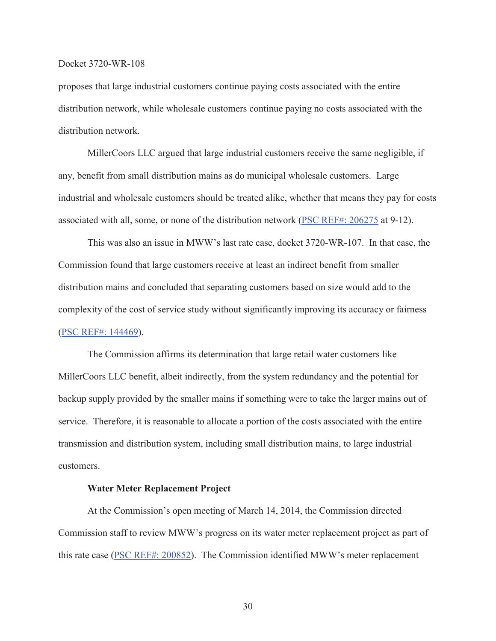proposes that large industrial customers continue paying costs associated with the entire distribution network, while wholesale customers continue paying no costs associated with the distribution network.

MillerCoors LLC argued that large industrial customers receive the same negligible, if any, benefit from small distribution mains as do municipal wholesale customers. Large industrial and wholesale customers should be treated alike, whether that means they pay for costs associated with all, some, or none of the distribution network (PSC REF#: 206275 at 9-12).

This was also an issue in MWW's last rate case, docket 3720-WR-107. In that case, the Commission found that large customers receive at least an indirect benefit from smaller distribution mains and concluded that separating customers based on size would add to the complexity of the cost of service study without significantly improving its accuracy or fairness (PSC REF#: 144469).

The Commission affirms its determination that large retail water customers like MillerCoors LLC benefit, albeit indirectly, from the system redundancy and the potential for backup supply provided by the smaller mains if something were to take the larger mains out of service. Therefore, it is reasonable to allocate a portion of the costs associated with the entire transmission and distribution system, including small distribution mains, to large industrial customers.

## **Water Meter Replacement Project**

At the Commission's open meeting of March 14, 2014, the Commission directed Commission staff to review MWW's progress on its water meter replacement project as part of this rate case (PSC REF#: 200852). The Commission identified MWW's meter replacement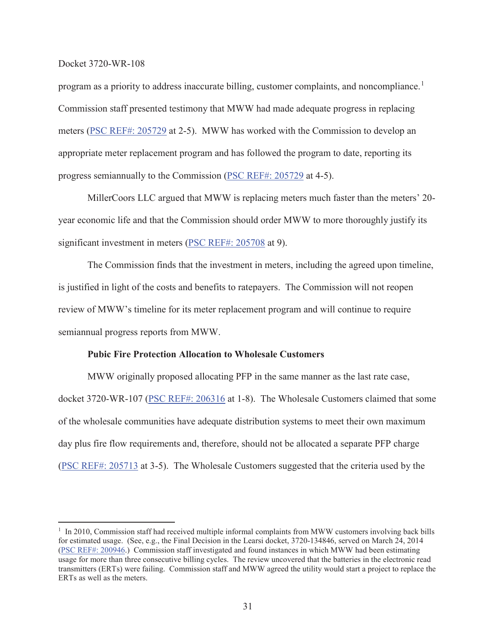program as a priority to address inaccurate billing, customer complaints, and noncompliance.<sup>1</sup> Commission staff presented testimony that MWW had made adequate progress in replacing meters (PSC REF#: 205729 at 2-5). MWW has worked with the Commission to develop an appropriate meter replacement program and has followed the program to date, reporting its progress semiannually to the Commission (PSC REF#: 205729 at 4-5).

MillerCoors LLC argued that MWW is replacing meters much faster than the meters' 20 year economic life and that the Commission should order MWW to more thoroughly justify its significant investment in meters (PSC REF#: 205708 at 9).

The Commission finds that the investment in meters, including the agreed upon timeline, is justified in light of the costs and benefits to ratepayers. The Commission will not reopen review of MWW's timeline for its meter replacement program and will continue to require semiannual progress reports from MWW.

## **Pubic Fire Protection Allocation to Wholesale Customers**

MWW originally proposed allocating PFP in the same manner as the last rate case, docket 3720-WR-107 (PSC REF#: 206316 at 1-8). The Wholesale Customers claimed that some of the wholesale communities have adequate distribution systems to meet their own maximum day plus fire flow requirements and, therefore, should not be allocated a separate PFP charge (PSC REF#: 205713 at 3-5). The Wholesale Customers suggested that the criteria used by the

<sup>&</sup>lt;sup>1</sup> In 2010, Commission staff had received multiple informal complaints from MWW customers involving back bills for estimated usage. (See, e.g., the Final Decision in the Learsi docket, 3720-134846, served on March 24, 2014 (PSC REF#: 200946.) Commission staff investigated and found instances in which MWW had been estimating usage for more than three consecutive billing cycles. The review uncovered that the batteries in the electronic read transmitters (ERTs) were failing. Commission staff and MWW agreed the utility would start a project to replace the ERTs as well as the meters.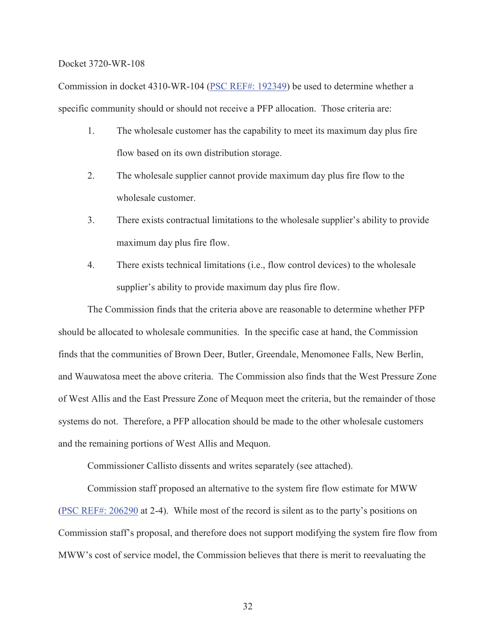Commission in docket 4310-WR-104 (PSC REF#: 192349) be used to determine whether a specific community should or should not receive a PFP allocation. Those criteria are:

- 1. The wholesale customer has the capability to meet its maximum day plus fire flow based on its own distribution storage.
- 2. The wholesale supplier cannot provide maximum day plus fire flow to the wholesale customer.
- 3. There exists contractual limitations to the wholesale supplier's ability to provide maximum day plus fire flow.
- 4. There exists technical limitations (i.e., flow control devices) to the wholesale supplier's ability to provide maximum day plus fire flow.

The Commission finds that the criteria above are reasonable to determine whether PFP should be allocated to wholesale communities. In the specific case at hand, the Commission finds that the communities of Brown Deer, Butler, Greendale, Menomonee Falls, New Berlin, and Wauwatosa meet the above criteria. The Commission also finds that the West Pressure Zone of West Allis and the East Pressure Zone of Mequon meet the criteria, but the remainder of those systems do not. Therefore, a PFP allocation should be made to the other wholesale customers and the remaining portions of West Allis and Mequon.

Commissioner Callisto dissents and writes separately (see attached).

Commission staff proposed an alternative to the system fire flow estimate for MWW (PSC REF#: 206290 at 2-4). While most of the record is silent as to the party's positions on Commission staff's proposal, and therefore does not support modifying the system fire flow from MWW's cost of service model, the Commission believes that there is merit to reevaluating the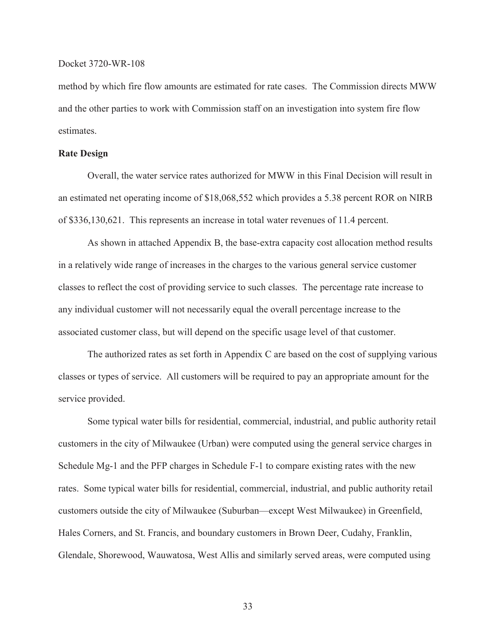method by which fire flow amounts are estimated for rate cases. The Commission directs MWW and the other parties to work with Commission staff on an investigation into system fire flow estimates.

## **Rate Design**

Overall, the water service rates authorized for MWW in this Final Decision will result in an estimated net operating income of \$18,068,552 which provides a 5.38 percent ROR on NIRB of \$336,130,621. This represents an increase in total water revenues of 11.4 percent.

As shown in attached Appendix B, the base-extra capacity cost allocation method results in a relatively wide range of increases in the charges to the various general service customer classes to reflect the cost of providing service to such classes. The percentage rate increase to any individual customer will not necessarily equal the overall percentage increase to the associated customer class, but will depend on the specific usage level of that customer.

The authorized rates as set forth in Appendix C are based on the cost of supplying various classes or types of service. All customers will be required to pay an appropriate amount for the service provided.

Some typical water bills for residential, commercial, industrial, and public authority retail customers in the city of Milwaukee (Urban) were computed using the general service charges in Schedule Mg-1 and the PFP charges in Schedule F-1 to compare existing rates with the new rates. Some typical water bills for residential, commercial, industrial, and public authority retail customers outside the city of Milwaukee (Suburban—except West Milwaukee) in Greenfield, Hales Corners, and St. Francis, and boundary customers in Brown Deer, Cudahy, Franklin, Glendale, Shorewood, Wauwatosa, West Allis and similarly served areas, were computed using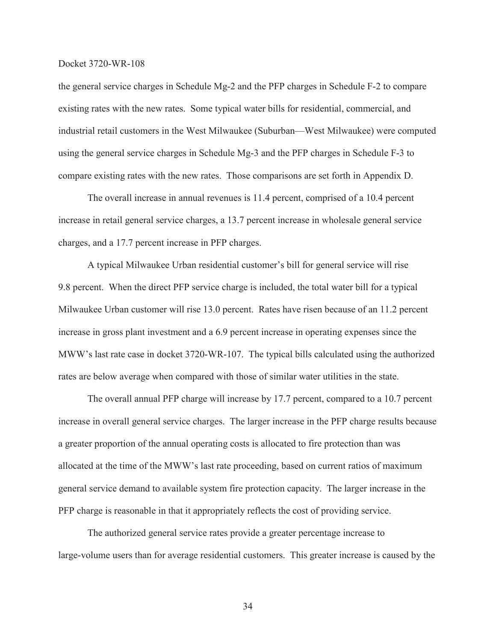the general service charges in Schedule Mg-2 and the PFP charges in Schedule F-2 to compare existing rates with the new rates. Some typical water bills for residential, commercial, and industrial retail customers in the West Milwaukee (Suburban—West Milwaukee) were computed using the general service charges in Schedule Mg-3 and the PFP charges in Schedule F-3 to compare existing rates with the new rates. Those comparisons are set forth in Appendix D.

The overall increase in annual revenues is 11.4 percent, comprised of a 10.4 percent increase in retail general service charges, a 13.7 percent increase in wholesale general service charges, and a 17.7 percent increase in PFP charges.

A typical Milwaukee Urban residential customer's bill for general service will rise 9.8 percent. When the direct PFP service charge is included, the total water bill for a typical Milwaukee Urban customer will rise 13.0 percent. Rates have risen because of an 11.2 percent increase in gross plant investment and a 6.9 percent increase in operating expenses since the MWW's last rate case in docket 3720-WR-107. The typical bills calculated using the authorized rates are below average when compared with those of similar water utilities in the state.

The overall annual PFP charge will increase by 17.7 percent, compared to a 10.7 percent increase in overall general service charges. The larger increase in the PFP charge results because a greater proportion of the annual operating costs is allocated to fire protection than was allocated at the time of the MWW's last rate proceeding, based on current ratios of maximum general service demand to available system fire protection capacity. The larger increase in the PFP charge is reasonable in that it appropriately reflects the cost of providing service.

The authorized general service rates provide a greater percentage increase to large-volume users than for average residential customers. This greater increase is caused by the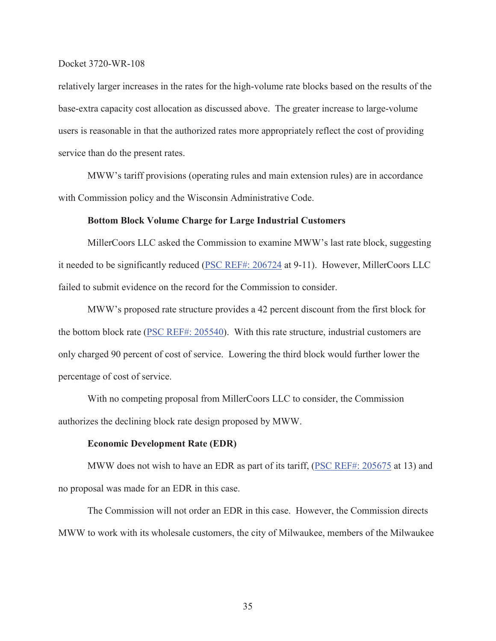relatively larger increases in the rates for the high-volume rate blocks based on the results of the base-extra capacity cost allocation as discussed above. The greater increase to large-volume users is reasonable in that the authorized rates more appropriately reflect the cost of providing service than do the present rates.

MWW's tariff provisions (operating rules and main extension rules) are in accordance with Commission policy and the Wisconsin Administrative Code.

## **Bottom Block Volume Charge for Large Industrial Customers**

MillerCoors LLC asked the Commission to examine MWW's last rate block, suggesting it needed to be significantly reduced (PSC REF#: 206724 at 9-11). However, MillerCoors LLC failed to submit evidence on the record for the Commission to consider.

MWW's proposed rate structure provides a 42 percent discount from the first block for the bottom block rate (PSC REF#: 205540). With this rate structure, industrial customers are only charged 90 percent of cost of service. Lowering the third block would further lower the percentage of cost of service.

With no competing proposal from MillerCoors LLC to consider, the Commission authorizes the declining block rate design proposed by MWW.

### **Economic Development Rate (EDR)**

MWW does not wish to have an EDR as part of its tariff, (PSC REF#: 205675 at 13) and no proposal was made for an EDR in this case.

The Commission will not order an EDR in this case. However, the Commission directs MWW to work with its wholesale customers, the city of Milwaukee, members of the Milwaukee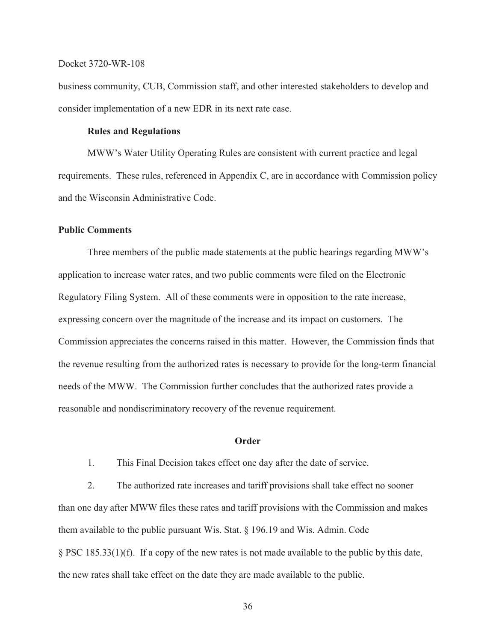business community, CUB, Commission staff, and other interested stakeholders to develop and consider implementation of a new EDR in its next rate case.

## **Rules and Regulations**

MWW's Water Utility Operating Rules are consistent with current practice and legal requirements. These rules, referenced in Appendix C, are in accordance with Commission policy and the Wisconsin Administrative Code.

#### **Public Comments**

Three members of the public made statements at the public hearings regarding MWW's application to increase water rates, and two public comments were filed on the Electronic Regulatory Filing System. All of these comments were in opposition to the rate increase, expressing concern over the magnitude of the increase and its impact on customers. The Commission appreciates the concerns raised in this matter. However, the Commission finds that the revenue resulting from the authorized rates is necessary to provide for the long-term financial needs of the MWW. The Commission further concludes that the authorized rates provide a reasonable and nondiscriminatory recovery of the revenue requirement.

## **Order**

1. This Final Decision takes effect one day after the date of service.

2. The authorized rate increases and tariff provisions shall take effect no sooner than one day after MWW files these rates and tariff provisions with the Commission and makes them available to the public pursuant Wis. Stat. § 196.19 and Wis. Admin. Code § PSC 185.33(1)(f). If a copy of the new rates is not made available to the public by this date, the new rates shall take effect on the date they are made available to the public.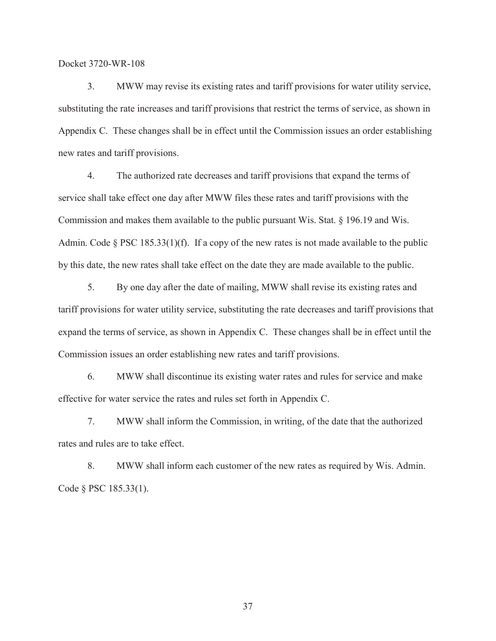3. MWW may revise its existing rates and tariff provisions for water utility service, substituting the rate increases and tariff provisions that restrict the terms of service, as shown in Appendix C. These changes shall be in effect until the Commission issues an order establishing new rates and tariff provisions.

4. The authorized rate decreases and tariff provisions that expand the terms of service shall take effect one day after MWW files these rates and tariff provisions with the Commission and makes them available to the public pursuant Wis. Stat. § 196.19 and Wis. Admin. Code  $\S$  PSC 185.33(1)(f). If a copy of the new rates is not made available to the public by this date, the new rates shall take effect on the date they are made available to the public.

5. By one day after the date of mailing, MWW shall revise its existing rates and tariff provisions for water utility service, substituting the rate decreases and tariff provisions that expand the terms of service, as shown in Appendix C. These changes shall be in effect until the Commission issues an order establishing new rates and tariff provisions.

6. MWW shall discontinue its existing water rates and rules for service and make effective for water service the rates and rules set forth in Appendix C.

7. MWW shall inform the Commission, in writing, of the date that the authorized rates and rules are to take effect.

8. MWW shall inform each customer of the new rates as required by Wis. Admin. Code § PSC 185.33(1).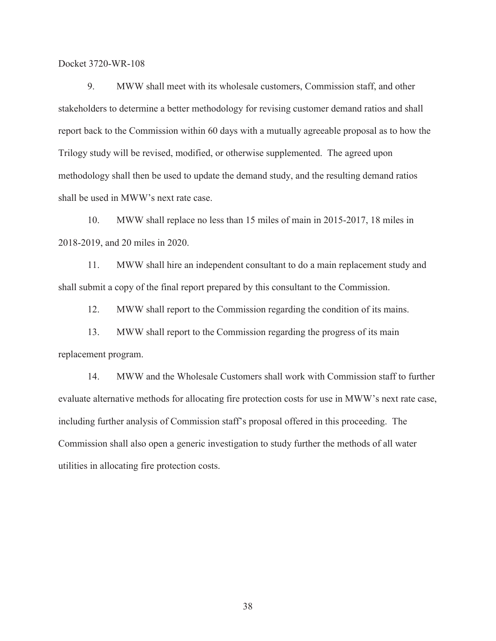9. MWW shall meet with its wholesale customers, Commission staff, and other stakeholders to determine a better methodology for revising customer demand ratios and shall report back to the Commission within 60 days with a mutually agreeable proposal as to how the Trilogy study will be revised, modified, or otherwise supplemented. The agreed upon methodology shall then be used to update the demand study, and the resulting demand ratios shall be used in MWW's next rate case.

10. MWW shall replace no less than 15 miles of main in 2015-2017, 18 miles in 2018-2019, and 20 miles in 2020.

11. MWW shall hire an independent consultant to do a main replacement study and shall submit a copy of the final report prepared by this consultant to the Commission.

12. MWW shall report to the Commission regarding the condition of its mains.

13. MWW shall report to the Commission regarding the progress of its main replacement program.

14. MWW and the Wholesale Customers shall work with Commission staff to further evaluate alternative methods for allocating fire protection costs for use in MWW's next rate case, including further analysis of Commission staff's proposal offered in this proceeding. The Commission shall also open a generic investigation to study further the methods of all water utilities in allocating fire protection costs.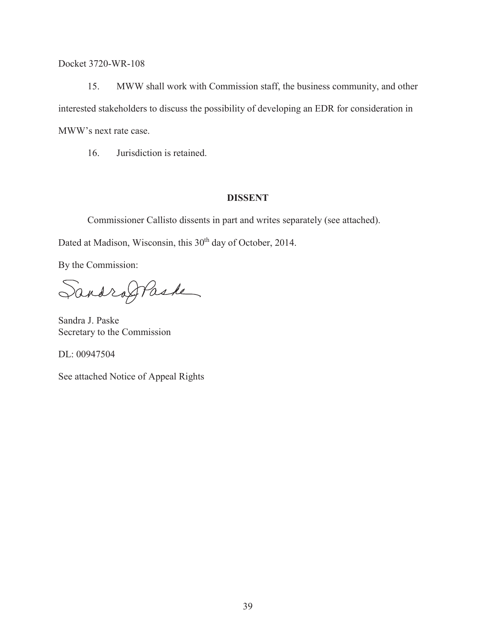15. MWW shall work with Commission staff, the business community, and other interested stakeholders to discuss the possibility of developing an EDR for consideration in MWW's next rate case.

16. Jurisdiction is retained.

# **DISSENT**

Commissioner Callisto dissents in part and writes separately (see attached).

Dated at Madison, Wisconsin, this 30<sup>th</sup> day of October, 2014.

By the Commission:

Sandroffaste

Sandra J. Paske Secretary to the Commission

DL: 00947504

See attached Notice of Appeal Rights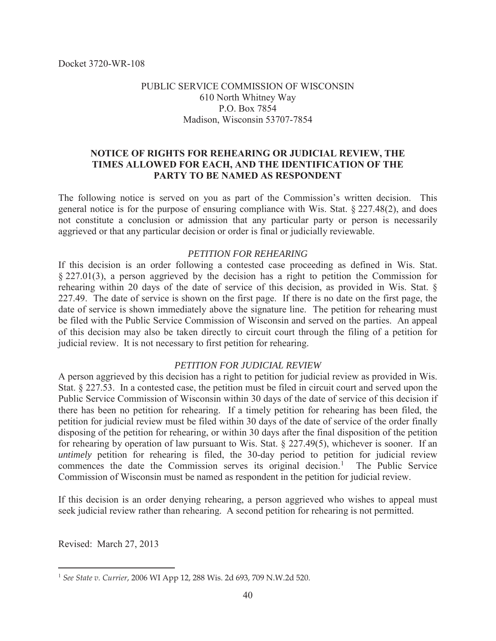# PUBLIC SERVICE COMMISSION OF WISCONSIN 610 North Whitney Way P.O. Box 7854 Madison, Wisconsin 53707-7854

# **NOTICE OF RIGHTS FOR REHEARING OR JUDICIAL REVIEW, THE TIMES ALLOWED FOR EACH, AND THE IDENTIFICATION OF THE PARTY TO BE NAMED AS RESPONDENT**

The following notice is served on you as part of the Commission's written decision. This general notice is for the purpose of ensuring compliance with Wis. Stat. § 227.48(2), and does not constitute a conclusion or admission that any particular party or person is necessarily aggrieved or that any particular decision or order is final or judicially reviewable.

# *PETITION FOR REHEARING*

If this decision is an order following a contested case proceeding as defined in Wis. Stat. § 227.01(3), a person aggrieved by the decision has a right to petition the Commission for rehearing within 20 days of the date of service of this decision, as provided in Wis. Stat. § 227.49. The date of service is shown on the first page. If there is no date on the first page, the date of service is shown immediately above the signature line. The petition for rehearing must be filed with the Public Service Commission of Wisconsin and served on the parties. An appeal of this decision may also be taken directly to circuit court through the filing of a petition for judicial review. It is not necessary to first petition for rehearing.

# *PETITION FOR JUDICIAL REVIEW*

A person aggrieved by this decision has a right to petition for judicial review as provided in Wis. Stat. § 227.53. In a contested case, the petition must be filed in circuit court and served upon the Public Service Commission of Wisconsin within 30 days of the date of service of this decision if there has been no petition for rehearing. If a timely petition for rehearing has been filed, the petition for judicial review must be filed within 30 days of the date of service of the order finally disposing of the petition for rehearing, or within 30 days after the final disposition of the petition for rehearing by operation of law pursuant to Wis. Stat. § 227.49(5), whichever is sooner. If an *untimely* petition for rehearing is filed, the 30-day period to petition for judicial review commences the date the Commission serves its original decision.<sup>1</sup> The Public Service Commission of Wisconsin must be named as respondent in the petition for judicial review.

If this decision is an order denying rehearing, a person aggrieved who wishes to appeal must seek judicial review rather than rehearing. A second petition for rehearing is not permitted.

Revised: March 27, 2013

<sup>1</sup> *See State v. Currier*, 2006 WI App 12, 288 Wis. 2d 693, 709 N.W.2d 520.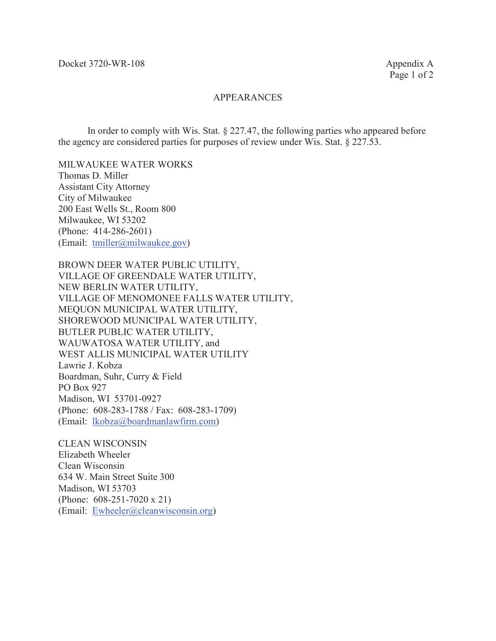## APPEARANCES

In order to comply with Wis. Stat. § 227.47, the following parties who appeared before the agency are considered parties for purposes of review under Wis. Stat. § 227.53.

MILWAUKEE WATER WORKS Thomas D. Miller Assistant City Attorney City of Milwaukee 200 East Wells St., Room 800 Milwaukee, WI 53202 (Phone: 414-286-2601) (Email: tmiller@milwaukee.gov)

BROWN DEER WATER PUBLIC UTILITY, VILLAGE OF GREENDALE WATER UTILITY, NEW BERLIN WATER UTILITY, VILLAGE OF MENOMONEE FALLS WATER UTILITY, MEQUON MUNICIPAL WATER UTILITY, SHOREWOOD MUNICIPAL WATER UTILITY, BUTLER PUBLIC WATER UTILITY, WAUWATOSA WATER UTILITY, and WEST ALLIS MUNICIPAL WATER UTILITY Lawrie J. Kobza Boardman, Suhr, Curry & Field PO Box 927 Madison, WI 53701-0927 (Phone: 608-283-1788 / Fax: 608-283-1709) (Email: lkobza@boardmanlawfirm.com)

CLEAN WISCONSIN Elizabeth Wheeler Clean Wisconsin 634 W. Main Street Suite 300 Madison, WI 53703 (Phone: 608-251-7020 x 21) (Email: Ewheeler@cleanwisconsin.org)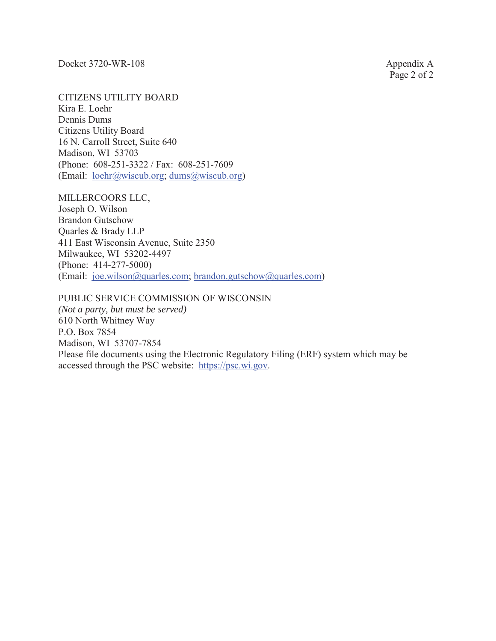CITIZENS UTILITY BOARD

Kira E. Loehr Dennis Dums Citizens Utility Board 16 N. Carroll Street, Suite 640 Madison, WI 53703 (Phone: 608-251-3322 / Fax: 608-251-7609 (Email:  $lochr(\hat{a})$ wiscub.org; dums $(\hat{a})$ wiscub.org)

MILLERCOORS LLC,

Joseph O. Wilson Brandon Gutschow Quarles & Brady LLP 411 East Wisconsin Avenue, Suite 2350 Milwaukee, WI 53202-4497 (Phone: 414-277-5000) (Email: joe.wilson@quarles.com; brandon.gutschow@quarles.com)

# PUBLIC SERVICE COMMISSION OF WISCONSIN

*(Not a party, but must be served)* 610 North Whitney Way P.O. Box 7854 Madison, WI 53707-7854 Please file documents using the Electronic Regulatory Filing (ERF) system which may be accessed through the PSC website: https://psc.wi.gov.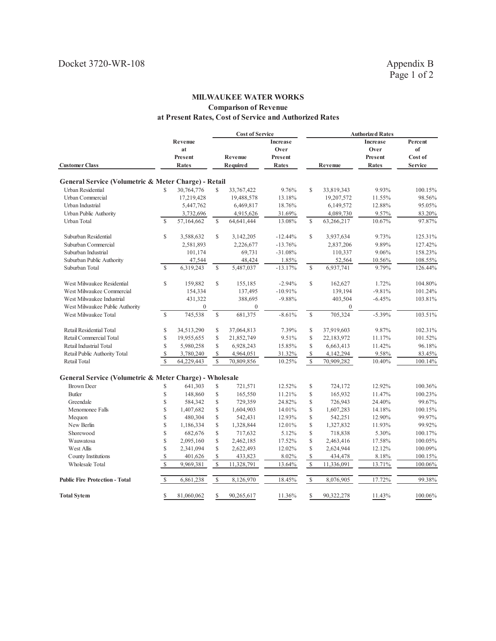## **MILWAUKEE WATER WORKS Comparison of Revenue at Present Rates, Cost of Service and Authorized Rates**

|                                                         |               |              |              | <b>Cost of Service</b> |           |               |                | <b>Authorized Rates</b> |                |
|---------------------------------------------------------|---------------|--------------|--------------|------------------------|-----------|---------------|----------------|-------------------------|----------------|
|                                                         |               | Revenue      |              |                        | Increase  |               |                | Increase                | Percent        |
|                                                         |               | at           |              |                        | Over      |               |                | Over                    | of             |
|                                                         |               | Present      |              | Revenue                | Present   |               |                | Present                 | Cost of        |
| <b>Customer Class</b>                                   |               | <b>Rates</b> |              | Required               | Rates     |               | Revenue        | Rates                   | <b>Service</b> |
|                                                         |               |              |              |                        |           |               |                |                         |                |
| General Service (Volumetric & Meter Charge) - Retail    |               |              |              |                        |           |               |                |                         |                |
| <b>Urban Residential</b>                                | \$            | 30,764,776   | \$           | 33,767,422             | 9.76%     | \$            | 33,819,343     | 9.93%                   | 100.15%        |
| Urban Commercial                                        |               | 17,219,428   |              | 19,488,578             | 13.18%    |               | 19,207,572     | 11.55%                  | 98.56%         |
| Urban Industrial                                        |               | 5,447,762    |              | 6,469,817              | 18.76%    |               | 6,149,572      | 12.88%                  | 95.05%         |
| Urban Public Authority                                  |               | 3,732,696    |              | 4,915,626              | 31.69%    |               | 4,089,730      | 9.57%                   | 83.20%         |
| Urban Total                                             | $\mathcal{S}$ | 57,164,662   | $\mathbb S$  | 64,641,444             | 13.08%    | \$            | 63,266,217     | 10.67%                  | 97.87%         |
| Suburban Residential                                    | \$            | 3,588,632    | $\mathbb{S}$ | 3,142,205              | $-12.44%$ | $\mathcal{S}$ | 3,937,634      | 9.73%                   | 125.31%        |
| Suburban Commercial                                     |               | 2,581,893    |              | 2,226,677              | $-13.76%$ |               | 2,837,206      | 9.89%                   | 127.42%        |
| Suburban Industrial                                     |               | 101,174      |              | 69,731                 | $-31.08%$ |               | 110,337        | 9.06%                   | 158.23%        |
| Suburban Public Authority                               |               | 47,544       |              | 48,424                 | 1.85%     |               | 52,564         | 10.56%                  | 108.55%        |
| Suburban Total                                          | $\mathcal{S}$ | 6,319,243    | $\mathbf S$  | 5,487,037              | $-13.17%$ | $\mathbf S$   | 6,937,741      | 9.79%                   | 126.44%        |
| West Milwaukee Residential                              | \$            | 159,882      | $\mathbf S$  | 155,185                | $-2.94%$  | $\mathbf S$   | 162,627        | 1.72%                   | 104.80%        |
| West Milwaukee Commercial                               |               | 154,334      |              | 137,495                | $-10.91%$ |               | 139,194        | $-9.81%$                | 101.24%        |
| West Milwaukee Industrial                               |               | 431,322      |              | 388,695                | $-9.88%$  |               | 403,504        | $-6.45%$                | 103.81%        |
| West Milwaukee Public Authority                         |               | $\Omega$     |              | $\mathbf{0}$           |           |               | $\overline{0}$ |                         |                |
| West Milwaukee Total                                    | $\mathcal{S}$ | 745,538      | $\mathbb S$  | 681,375                | $-8.61%$  | $\mathsf{\$}$ | 705,324        | $-5.39%$                | 103.51%        |
| Retail Residential Total                                | \$            | 34,513,290   | \$           | 37,064,813             | 7.39%     | \$            | 37,919,603     | 9.87%                   | 102.31%        |
| Retail Commercial Total                                 | \$            | 19,955,655   | $\mathbf S$  | 21,852,749             | 9.51%     | Ŝ             | 22,183,972     | 11.17%                  | 101.52%        |
| Retail Industrial Total                                 | \$            | 5,980,258    | $\mathbb{S}$ | 6,928,243              | 15.85%    | \$            | 6,663,413      | 11.42%                  | 96.18%         |
| Retail Public Authority Total                           | $\mathcal{S}$ | 3,780,240    | S            | 4,964,051              | 31.32%    | \$            | 4,142,294      | 9.58%                   | 83.45%         |
| Retail Total                                            | $\mathbb{S}$  | 64,229,443   | $\mathbf S$  | 70,809,856             | 10.25%    | $\mathbf S$   | 70,909,282     | 10.40%                  | 100.14%        |
| General Service (Volumetric & Meter Charge) - Wholesale |               |              |              |                        |           |               |                |                         |                |
| <b>Brown Deer</b>                                       | \$            | 641,303      | \$           | 721,571                | 12.52%    | \$            | 724,172        | 12.92%                  | 100.36%        |
| <b>Butler</b>                                           | \$            | 148,860      | \$           | 165,550                | 11.21%    | \$            | 165,932        | 11.47%                  | 100.23%        |
| Greendale                                               | \$            | 584,342      | \$           | 729,359                | 24.82%    | \$            | 726,943        | 24.40%                  | 99.67%         |
| Menomonee Falls                                         | \$            | 1,407,682    | \$           | 1,604,903              | 14.01%    | \$            | 1,607,283      | 14.18%                  | 100.15%        |
| Mequon                                                  | \$            | 480,304      | \$           | 542,431                | 12.93%    | \$            | 542,251        | 12.90%                  | 99.97%         |
| New Berlin                                              | \$            | 1,186,334    | \$           | 1,328,844              | 12.01%    | \$            | 1,327,832      | 11.93%                  | 99.92%         |
| Shorewood                                               | \$            | 682,676      | \$           | 717,632                | 5.12%     | \$            | 718,838        | 5.30%                   | 100.17%        |
| Wauwatosa                                               | \$            | 2,095,160    | \$           | 2,462,185              | 17.52%    | \$            | 2,463,416      | 17.58%                  | 100.05%        |
| West Allis                                              | \$            | 2,341,094    | \$           | 2,622,493              | 12.02%    | \$            | 2,624,944      | 12.12%                  | 100.09%        |
| County Institutions                                     | \$            | 401,626      | \$           | 433,823                | 8.02%     | \$            | 434,478        | 8.18%                   | 100.15%        |
| <b>Wholesale Total</b>                                  | $\mathbb{S}$  | 9,969,381    | \$           | 11,328,791             | 13.64%    | $\mathcal{S}$ | 11,336,091     | 13.71%                  | 100.06%        |
| <b>Public Fire Protection - Total</b>                   | $\mathbb{S}$  | 6,861,238    | \$           | 8,126,970              | 18.45%    | $\mathsf{\$}$ | 8,076,905      | 17.72%                  | 99.38%         |
| <b>Total Sytem</b>                                      | \$            | 81,060,062   | \$           | 90,265,617             | 11.36%    | \$            | 90,322,278     | 11.43%                  | 100.06%        |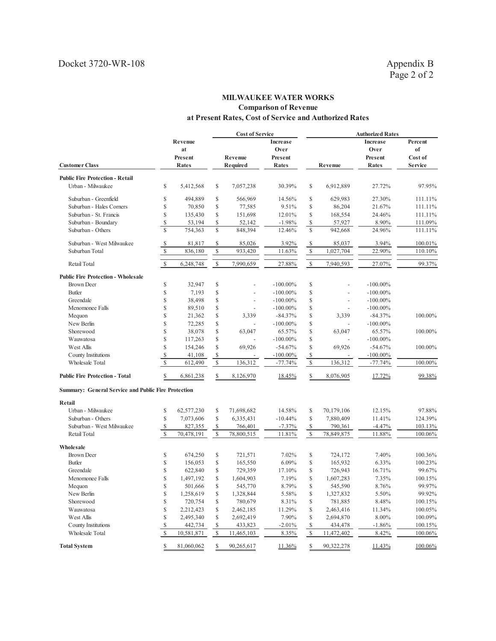## **MILWAUKEE WATER WORKS Comparison of Revenue at Present Rates, Cost of Service and Authorized Rates**

|                                                            |               |            |               | <b>Cost of Service</b>   |             |                          |                          | <b>Authorized Rates</b> |                |
|------------------------------------------------------------|---------------|------------|---------------|--------------------------|-------------|--------------------------|--------------------------|-------------------------|----------------|
|                                                            |               | Revenue    |               |                          | Increase    |                          |                          | <b>Increase</b>         | Percent        |
|                                                            |               | at         |               |                          | Over        |                          |                          | Over                    | of             |
|                                                            |               | Present    |               | Revenue                  | Present     |                          |                          | Present                 | Cost of        |
| <b>Customer Class</b>                                      |               | Rates      |               | Required                 | Rates       |                          | Revenue                  | Rates                   | <b>Service</b> |
| <b>Public Fire Protection - Retail</b>                     |               |            |               |                          |             |                          |                          |                         |                |
| Urban - Milwaukee                                          | \$            | 5,412,568  | \$            | 7,057,238                | 30.39%      | \$                       | 6,912,889                | 27.72%                  | 97.95%         |
| Suburban - Greenfield                                      | \$            | 494,889    | \$            | 566,969                  | 14.56%      | \$                       | 629,983                  | 27.30%                  | 111.11%        |
| Suburban - Hales Corners                                   | \$            | 70,850     | \$            | 77,585                   | 9.51%       | \$                       | 86,204                   | 21.67%                  | 111.11%        |
| Suburban - St. Francis                                     | \$            | 135,430    | \$            | 151,698                  | 12.01%      | \$                       | 168,554                  | 24.46%                  | 111.11%        |
| Suburban - Boundary                                        | \$            | 53,194     | \$            | 52,142                   | $-1.98%$    | \$                       | 57,927                   | 8.90%                   | 111.09%        |
| Suburban - Others                                          | $\mathbf S$   | 754,363    | $\mathsf{\$}$ | 848,394                  | 12.46%      | $\mathbf S$              | 942,668                  | 24.96%                  | 111.11%        |
| Suburban - West Milwaukee                                  | \$            | 81,817     | S             | 85,026                   | 3.92%       | \$                       | 85,037                   | 3.94%                   | 100.01%        |
| Suburban Total                                             | $\mathbb{S}$  | 836,180    | $\mathcal{S}$ | 933,420                  | 11.63%      | $\mathbb{S}$             | 1,027,704                | 22.90%                  | 110.10%        |
| Retail Total                                               | $\mathbb{S}$  | 6,248,748  | $\mathbb{S}$  | 7,990,659                | 27.88%      | $\mathcal{S}$            | 7,940,593                | 27.07%                  | 99.37%         |
| <b>Public Fire Protection - Wholesale</b>                  |               |            |               |                          |             |                          |                          |                         |                |
| <b>Brown Deer</b>                                          | \$            | 32,947     | \$            |                          | $-100.00\%$ | \$                       |                          | $-100.00\%$             |                |
| <b>Butler</b>                                              | \$            | 7,193      | \$            |                          | $-100.00\%$ | \$                       |                          | $-100.00\%$             |                |
| Greendale                                                  | \$            | 38,498     | \$            | $\overline{\phantom{a}}$ | $-100.00\%$ | \$                       | $\overline{a}$           | $-100.00\%$             |                |
| Menomonee Falls                                            | \$            | 89,510     | \$            |                          | $-100.00\%$ | \$                       | $\overline{\phantom{a}}$ | $-100.00\%$             |                |
| Mequon                                                     | \$            | 21,362     | \$            | 3,339                    | $-84.37%$   | \$                       | 3,339                    | $-84.37%$               | 100.00%        |
| New Berlin                                                 | \$            | 72,285     | \$            | $\overline{\phantom{a}}$ | $-100.00\%$ | \$                       | $\blacksquare$           | $-100.00\%$             |                |
| Shorewood                                                  | \$            | 38,078     | \$            | 63,047                   | 65.57%      | \$                       | 63,047                   | 65.57%                  | 100.00%        |
| Wauwatosa                                                  | \$            | 117,263    | \$            |                          | $-100.00\%$ | \$                       |                          | $-100.00\%$             |                |
| West Allis                                                 | \$            | 154,246    | \$            | 69,926                   | $-54.67%$   | \$                       | 69,926                   | $-54.67%$               | 100.00%        |
| County Institutions                                        | \$            | 41,108     | \$            |                          | $-100.00\%$ | \$                       |                          | $-100.00\%$             |                |
| Wholesale Total                                            | $\mathcal{S}$ | 612,490    | $\mathcal{S}$ | 136,312                  | $-77.74%$   | $\mathbb{S}$             | 136,312                  | $-77.74%$               | 100.00%        |
| <b>Public Fire Protection - Total</b>                      | \$            | 6,861,238  | \$            | 8,126,970                | 18.45%      | \$                       | 8,076,905                | 17.72%                  | 99.38%         |
| <b>Summary: General Service and Public Fire Protection</b> |               |            |               |                          |             |                          |                          |                         |                |
| Retail                                                     |               |            |               |                          |             |                          |                          |                         |                |
| Urban - Milwaukee                                          | \$            | 62,577,230 | \$            | 71,698,682               | 14.58%      | \$                       | 70,179,106               | 12.15%                  | 97.88%         |
| Suburban - Others                                          | \$            | 7,073,606  | \$            | 6,335,431                | $-10.44%$   | \$                       | 7,880,409                | 11.41%                  | 124.39%        |
| Suburban - West Milwaukee                                  | \$            | 827,355    | \$            | 766,401                  | $-7.37%$    | \$                       | 790,361                  | $-4.47%$                | 103.13%        |
| Retail Total                                               | $\mathcal{S}$ | 70,478,191 | $\mathbf S$   | 78,800,515               | 11.81%      | $\mathbb{S}$             | 78,849,875               | 11.88%                  | 100.06%        |
| Wholesale                                                  |               |            |               |                          |             |                          |                          |                         |                |
| <b>Brown Deer</b>                                          | \$            | 674,250    | \$            | 721,571                  | 7.02%       | \$                       | 724,172                  | 7.40%                   | 100.36%        |
| <b>Butler</b>                                              | \$            | 156,053    | \$            | 165,550                  | 6.09%       | \$                       | 165,932                  | 6.33%                   | 100.23%        |
| Greendale                                                  | \$            | 622,840    | \$            | 729,359                  | 17.10%      | \$                       | 726,943                  | 16.71%                  | 99.67%         |
| Menomonee Falls                                            | \$            | 1,497,192  | \$            | 1,604,903                | 7.19%       | \$                       | 1,607,283                | 7.35%                   | 100.15%        |
| Mequon                                                     | \$            | 501,666    | \$            | 545,770                  | 8.79%       | \$                       | 545,590                  | 8.76%                   | 99.97%         |
| New Berlin                                                 | \$            | 1,258,619  | \$            | 1,328,844                | 5.58%       | \$                       | 1,327,832                | 5.50%                   | 99.92%         |
| Shorewood                                                  | \$            | 720,754    | \$            | 780,679                  | 8.31%       | \$                       | 781,885                  | 8.48%                   | 100.15%        |
| Wauwatosa                                                  | \$            | 2,212,423  | \$            | 2,462,185                | 11.29%      | \$                       | 2,463,416                | 11.34%                  | 100.05%        |
| West Allis                                                 | \$            | 2,495,340  | \$            | 2,692,419                | 7.90%       | \$                       | 2,694,870                | $8.00\%$                | 100.09%        |
| County Institutions                                        | \$            | 442,734    | \$            | 433,823                  | $-2.01%$    | $\overline{\mathcal{E}}$ | 434,478                  | $-1.86%$                | 100.15%        |
| Wholesale Total                                            | $\mathbb{S}$  | 10,581,871 | \$            | 11,465,103               | 8.35%       | $\sqrt{\ }$              | 11,472,402               | 8.42%                   | 100.06%        |
| <b>Total System</b>                                        | \$            | 81,060,062 | \$            | 90,265,617               | 11.36%      | \$                       | 90,322,278               | 11.43%                  | 100.06%        |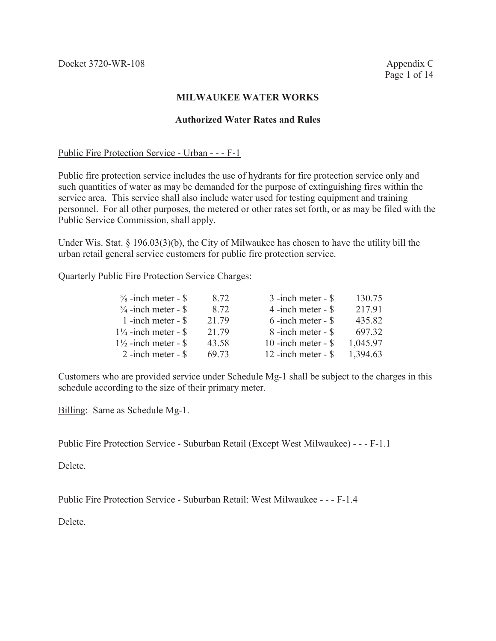# **Authorized Water Rates and Rules**

## Public Fire Protection Service - Urban - - - F-1

Public fire protection service includes the use of hydrants for fire protection service only and such quantities of water as may be demanded for the purpose of extinguishing fires within the service area. This service shall also include water used for testing equipment and training personnel. For all other purposes, the metered or other rates set forth, or as may be filed with the Public Service Commission, shall apply.

Under Wis. Stat. § 196.03(3)(b), the City of Milwaukee has chosen to have the utility bill the urban retail general service customers for public fire protection service.

Quarterly Public Fire Protection Service Charges:

| 8.72  | $3$ -inch meter - $$$ | 130.75   |
|-------|-----------------------|----------|
| 8.72  | 4 -inch meter - $\$   | 217.91   |
| 21.79 | $6$ -inch meter - $$$ | 435.82   |
| 21.79 | 8 -inch meter - \$    | 697.32   |
| 43.58 | 10 -inch meter - $\$  | 1,045.97 |
| 69.73 | 12 -inch meter - $\$  | 1,394.63 |
|       |                       |          |

Customers who are provided service under Schedule Mg-1 shall be subject to the charges in this schedule according to the size of their primary meter.

Billing: Same as Schedule Mg-1.

Public Fire Protection Service - Suburban Retail (Except West Milwaukee) - - - F-1.1

Delete.

Public Fire Protection Service - Suburban Retail: West Milwaukee - - - F-1.4

Delete.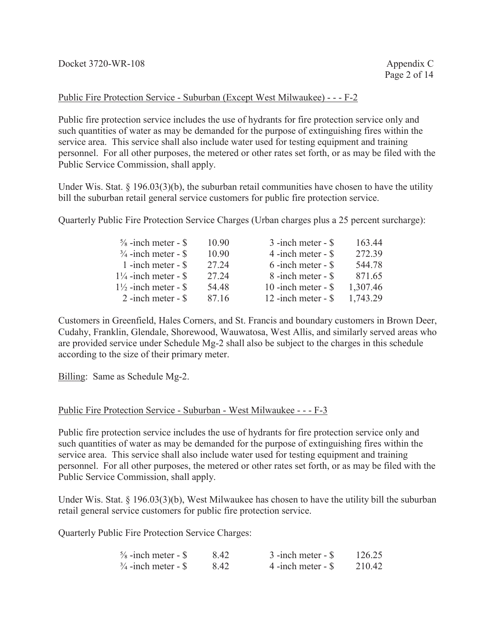# Public Fire Protection Service - Suburban (Except West Milwaukee) - - - F-2

Public fire protection service includes the use of hydrants for fire protection service only and such quantities of water as may be demanded for the purpose of extinguishing fires within the service area. This service shall also include water used for testing equipment and training personnel. For all other purposes, the metered or other rates set forth, or as may be filed with the Public Service Commission, shall apply.

Under Wis. Stat. § 196.03(3)(b), the suburban retail communities have chosen to have the utility bill the suburban retail general service customers for public fire protection service.

Quarterly Public Fire Protection Service Charges (Urban charges plus a 25 percent surcharge):

|          | 272.39 |
|----------|--------|
|          | 544.78 |
|          | 871.65 |
| 1,307.46 |        |
| 1,743.29 |        |
|          |        |

Customers in Greenfield, Hales Corners, and St. Francis and boundary customers in Brown Deer, Cudahy, Franklin, Glendale, Shorewood, Wauwatosa, West Allis, and similarly served areas who are provided service under Schedule Mg-2 shall also be subject to the charges in this schedule according to the size of their primary meter.

Billing: Same as Schedule Mg-2.

# Public Fire Protection Service - Suburban - West Milwaukee - - - F-3

Public fire protection service includes the use of hydrants for fire protection service only and such quantities of water as may be demanded for the purpose of extinguishing fires within the service area. This service shall also include water used for testing equipment and training personnel. For all other purposes, the metered or other rates set forth, or as may be filed with the Public Service Commission, shall apply.

Under Wis. Stat. § 196.03(3)(b), West Milwaukee has chosen to have the utility bill the suburban retail general service customers for public fire protection service.

Quarterly Public Fire Protection Service Charges:

| $\frac{5}{8}$ -inch meter - \$ | 842  | $3$ -inch meter - $\$$ | 126.25 |
|--------------------------------|------|------------------------|--------|
| $\frac{3}{4}$ -inch meter - \$ | 8.42 | 4 -inch meter $-$ \$   | 210.42 |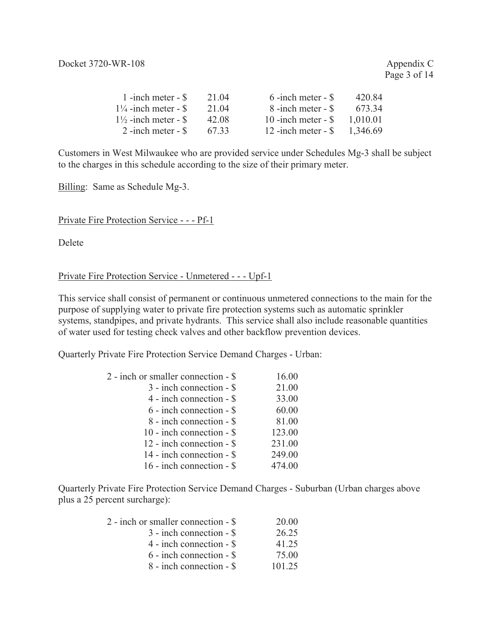| 1 -inch meter $-$ \$            | 21.04 | $6$ -inch meter - $\$ | 420.84   |
|---------------------------------|-------|-----------------------|----------|
| $1\frac{1}{4}$ -inch meter - \$ | 21 04 | 8 -inch meter - \$    | 673.34   |
| $1\frac{1}{2}$ -inch meter - \$ | 42.08 | 10 -inch meter - $\$$ | 1,010.01 |
| $2$ -inch meter - $\$           | 67.33 | 12 -inch meter - $\$  | 1.346.69 |

Customers in West Milwaukee who are provided service under Schedules Mg-3 shall be subject to the charges in this schedule according to the size of their primary meter.

Billing: Same as Schedule Mg-3.

Private Fire Protection Service - - - Pf-1

Delete

# Private Fire Protection Service - Unmetered - - - Upf-1

This service shall consist of permanent or continuous unmetered connections to the main for the purpose of supplying water to private fire protection systems such as automatic sprinkler systems, standpipes, and private hydrants. This service shall also include reasonable quantities of water used for testing check valves and other backflow prevention devices.

Quarterly Private Fire Protection Service Demand Charges - Urban:

| 2 - inch or smaller connection - \$ | 16.00  |
|-------------------------------------|--------|
| 3 - inch connection - \$            | 21.00  |
| 4 - inch connection - \$            | 33.00  |
| 6 - inch connection - \$            | 60.00  |
| 8 - inch connection - \$            | 81.00  |
| $10$ - inch connection - \$         | 123.00 |
| 12 - inch connection - \$           | 231.00 |
| 14 - inch connection - \$           | 249.00 |
| 16 - inch connection - \$           | 474.00 |
|                                     |        |

Quarterly Private Fire Protection Service Demand Charges - Suburban (Urban charges above plus a 25 percent surcharge):

| 2 - inch or smaller connection - \$ | 20.00  |
|-------------------------------------|--------|
| $3$ - inch connection - $\$$        | 26.25  |
| $4$ - inch connection - $\$         | 41 25  |
| $6$ - inch connection - $\$         | 75.00  |
| 8 - inch connection - \$            | 101 25 |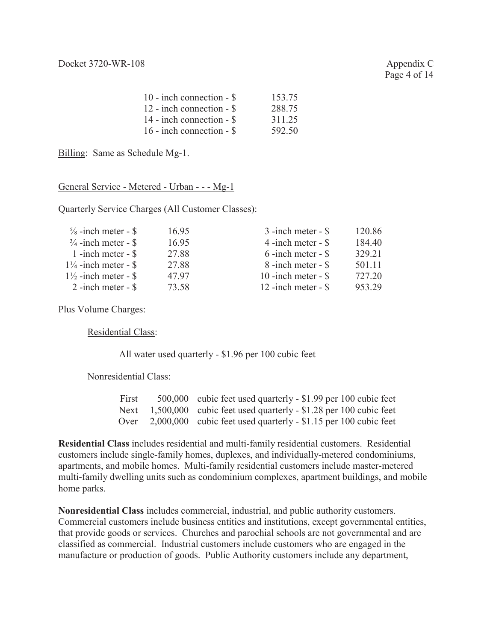Page 4 of 14

| 10 - inch connection - $\$ | 153.75 |
|----------------------------|--------|
| 12 - inch connection - \$  | 288.75 |
| 14 - inch connection - \$  | 311.25 |
| 16 - inch connection - $\$ | 592.50 |

Billing: Same as Schedule Mg-1.

# General Service - Metered - Urban - - - Mg-1

Quarterly Service Charges (All Customer Classes):

| $\frac{5}{8}$ -inch meter - \$  | 16.95 | $3$ -inch meter - $\$$ | 120.86 |
|---------------------------------|-------|------------------------|--------|
| $\frac{3}{4}$ -inch meter - \$  | 16.95 | $4$ -inch meter - $\$  | 184.40 |
| 1 -inch meter $-$ \$            | 27.88 | $6$ -inch meter - $\$  | 329.21 |
| $1\frac{1}{4}$ -inch meter - \$ | 27.88 | 8 -inch meter - \$     | 501 11 |
| $1\frac{1}{2}$ -inch meter - \$ | 4797  | 10 -inch meter - $\$   | 727.20 |
| $2$ -inch meter - $\$           | 73.58 | 12 -inch meter - $\$   | 953.29 |

Plus Volume Charges:

Residential Class:

All water used quarterly - \$1.96 per 100 cubic feet

Nonresidential Class:

| First | 500,000 cubic feet used quarterly - \$1.99 per 100 cubic feet          |
|-------|------------------------------------------------------------------------|
|       | Next $1,500,000$ cubic feet used quarterly - \$1.28 per 100 cubic feet |
|       | Over 2,000,000 cubic feet used quarterly - \$1.15 per 100 cubic feet   |

**Residential Class** includes residential and multi-family residential customers. Residential customers include single-family homes, duplexes, and individually-metered condominiums, apartments, and mobile homes. Multi-family residential customers include master-metered multi-family dwelling units such as condominium complexes, apartment buildings, and mobile home parks.

**Nonresidential Class** includes commercial, industrial, and public authority customers. Commercial customers include business entities and institutions, except governmental entities, that provide goods or services. Churches and parochial schools are not governmental and are classified as commercial. Industrial customers include customers who are engaged in the manufacture or production of goods. Public Authority customers include any department,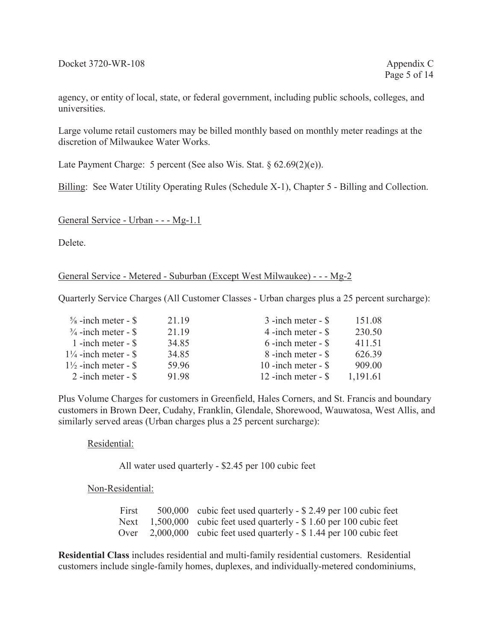agency, or entity of local, state, or federal government, including public schools, colleges, and universities.

Large volume retail customers may be billed monthly based on monthly meter readings at the discretion of Milwaukee Water Works.

Late Payment Charge: 5 percent (See also Wis. Stat. § 62.69(2)(e)).

Billing: See Water Utility Operating Rules (Schedule X-1), Chapter 5 - Billing and Collection.

# General Service - Urban - - - Mg-1.1

Delete.

# General Service - Metered - Suburban (Except West Milwaukee) - - - Mg-2

Quarterly Service Charges (All Customer Classes - Urban charges plus a 25 percent surcharge):

| $\frac{5}{8}$ -inch meter - \$  | 21 19 | $3$ -inch meter - $\$$ | 151.08   |
|---------------------------------|-------|------------------------|----------|
| $\frac{3}{4}$ -inch meter - \$  | 21.19 | $4$ -inch meter - $\$  | 230.50   |
| 1 -inch meter $-$ \$            | 34.85 | $6$ -inch meter - $\$  | 411.51   |
| $1\frac{1}{4}$ -inch meter - \$ | 34.85 | 8 -inch meter - \$     | 626.39   |
| $1\frac{1}{2}$ -inch meter - \$ | 59.96 | 10 -inch meter - $\$   | 909.00   |
| $2$ -inch meter - $\$           | 91.98 | 12 -inch meter - $$$   | 1,191.61 |

Plus Volume Charges for customers in Greenfield, Hales Corners, and St. Francis and boundary customers in Brown Deer, Cudahy, Franklin, Glendale, Shorewood, Wauwatosa, West Allis, and similarly served areas (Urban charges plus a 25 percent surcharge):

# Residential:

All water used quarterly - \$2.45 per 100 cubic feet

Non-Residential:

First 500,000 cubic feet used quarterly - \$ 2.49 per 100 cubic feet Next 1,500,000 cubic feet used quarterly - \$1.60 per 100 cubic feet Over 2,000,000 cubic feet used quarterly - \$ 1.44 per 100 cubic feet

**Residential Class** includes residential and multi-family residential customers. Residential customers include single-family homes, duplexes, and individually-metered condominiums,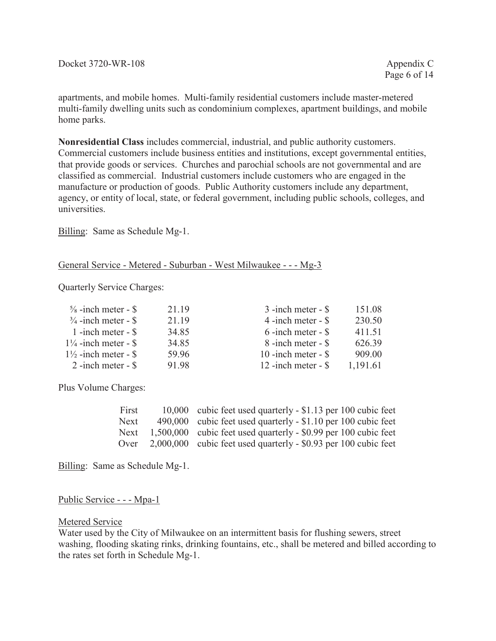apartments, and mobile homes. Multi-family residential customers include master-metered multi-family dwelling units such as condominium complexes, apartment buildings, and mobile home parks.

**Nonresidential Class** includes commercial, industrial, and public authority customers. Commercial customers include business entities and institutions, except governmental entities, that provide goods or services. Churches and parochial schools are not governmental and are classified as commercial. Industrial customers include customers who are engaged in the manufacture or production of goods. Public Authority customers include any department, agency, or entity of local, state, or federal government, including public schools, colleges, and universities.

Billing: Same as Schedule Mg-1.

# General Service - Metered - Suburban - West Milwaukee - - - Mg-3

Quarterly Service Charges:

| $\frac{5}{8}$ -inch meter - \$  | 21.19 | $3$ -inch meter - $\$$ | 151.08   |
|---------------------------------|-------|------------------------|----------|
| $\frac{3}{4}$ -inch meter - \$  | 21.19 | 4 -inch meter - $\$    | 230.50   |
| 1 -inch meter $-$ \$            | 34.85 | $6$ -inch meter - $$$  | 411.51   |
| $1\frac{1}{4}$ -inch meter - \$ | 34.85 | 8 -inch meter - \$     | 626.39   |
| $1\frac{1}{2}$ -inch meter - \$ | 59.96 | 10 -inch meter - $\$   | 909.00   |
| $2$ -inch meter - $\$           | 91.98 | 12 -inch meter - $\$   | 1,191.61 |

Plus Volume Charges:

| First | 10,000 cubic feet used quarterly - \$1.13 per 100 cubic feet    |
|-------|-----------------------------------------------------------------|
| Next. | 490,000 cubic feet used quarterly - \$1.10 per 100 cubic feet   |
| Next  | 1,500,000 cubic feet used quarterly - \$0.99 per 100 cubic feet |
| Over  | 2,000,000 cubic feet used quarterly - \$0.93 per 100 cubic feet |

Billing: Same as Schedule Mg-1.

# Public Service - - - Mpa-1

## Metered Service

Water used by the City of Milwaukee on an intermittent basis for flushing sewers, street washing, flooding skating rinks, drinking fountains, etc., shall be metered and billed according to the rates set forth in Schedule Mg-1.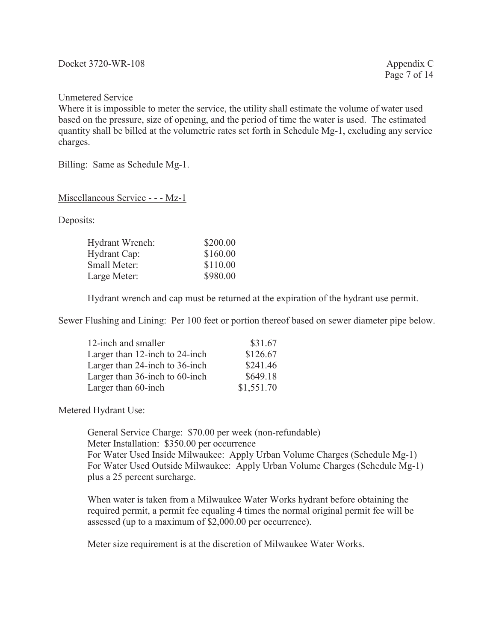# Unmetered Service

Where it is impossible to meter the service, the utility shall estimate the volume of water used based on the pressure, size of opening, and the period of time the water is used. The estimated quantity shall be billed at the volumetric rates set forth in Schedule Mg-1, excluding any service charges.

Billing: Same as Schedule Mg-1.

Miscellaneous Service - - - Mz-1

Deposits:

| \$200.00 |
|----------|
| \$160.00 |
| \$110.00 |
| \$980.00 |
|          |

Hydrant wrench and cap must be returned at the expiration of the hydrant use permit.

Sewer Flushing and Lining: Per 100 feet or portion thereof based on sewer diameter pipe below.

| 12-inch and smaller            | \$31.67    |
|--------------------------------|------------|
| Larger than 12-inch to 24-inch | \$126.67   |
| Larger than 24-inch to 36-inch | \$241.46   |
| Larger than 36-inch to 60-inch | \$649.18   |
| Larger than 60-inch            | \$1,551.70 |

Metered Hydrant Use:

General Service Charge: \$70.00 per week (non-refundable) Meter Installation: \$350.00 per occurrence For Water Used Inside Milwaukee: Apply Urban Volume Charges (Schedule Mg-1) For Water Used Outside Milwaukee: Apply Urban Volume Charges (Schedule Mg-1) plus a 25 percent surcharge.

When water is taken from a Milwaukee Water Works hydrant before obtaining the required permit, a permit fee equaling 4 times the normal original permit fee will be assessed (up to a maximum of \$2,000.00 per occurrence).

Meter size requirement is at the discretion of Milwaukee Water Works.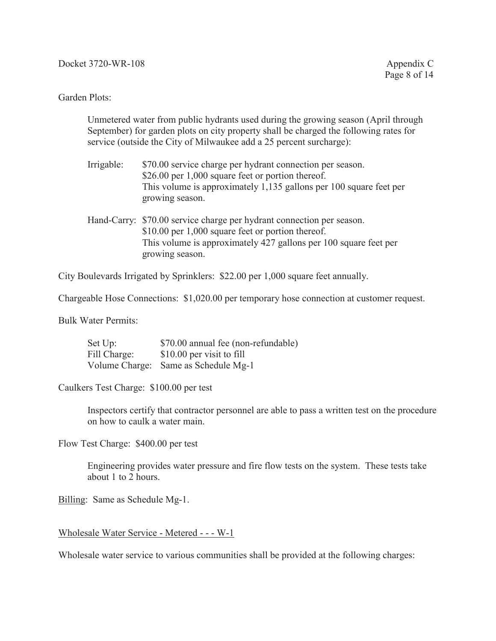## Garden Plots:

Unmetered water from public hydrants used during the growing season (April through September) for garden plots on city property shall be charged the following rates for service (outside the City of Milwaukee add a 25 percent surcharge):

- Irrigable: \$70.00 service charge per hydrant connection per season. \$26.00 per 1,000 square feet or portion thereof. This volume is approximately 1,135 gallons per 100 square feet per growing season.
- Hand-Carry: \$70.00 service charge per hydrant connection per season. \$10.00 per 1,000 square feet or portion thereof. This volume is approximately 427 gallons per 100 square feet per growing season.

City Boulevards Irrigated by Sprinklers: \$22.00 per 1,000 square feet annually.

Chargeable Hose Connections: \$1,020.00 per temporary hose connection at customer request.

Bulk Water Permits:

| Set Up:      | \$70.00 annual fee (non-refundable)  |
|--------------|--------------------------------------|
| Fill Charge: | \$10.00 per visit to fill            |
|              | Volume Charge: Same as Schedule Mg-1 |

Caulkers Test Charge: \$100.00 per test

Inspectors certify that contractor personnel are able to pass a written test on the procedure on how to caulk a water main.

Flow Test Charge: \$400.00 per test

Engineering provides water pressure and fire flow tests on the system. These tests take about 1 to 2 hours.

Billing: Same as Schedule Mg-1.

## Wholesale Water Service - Metered - - - W-1

Wholesale water service to various communities shall be provided at the following charges: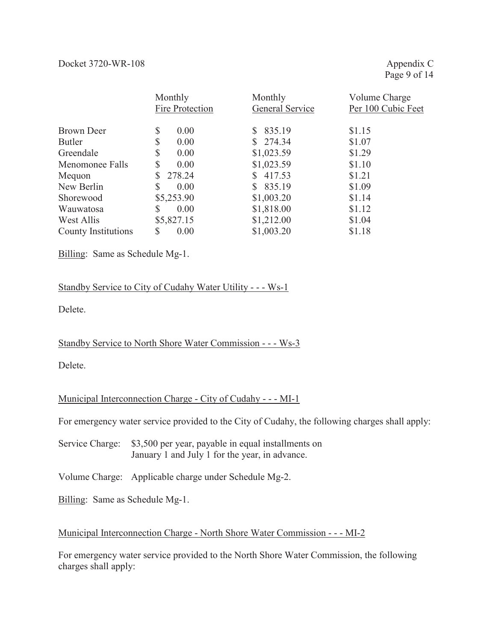|                     | Monthly         | Monthly         | Volume Charge      |
|---------------------|-----------------|-----------------|--------------------|
|                     | Fire Protection | General Service | Per 100 Cubic Feet |
|                     |                 |                 |                    |
| Brown Deer          | \$<br>0.00      | 835.19          | \$1.15             |
| <b>Butler</b>       | \$<br>0.00      | \$274.34        | \$1.07             |
| Greendale           | \$<br>0.00      | \$1,023.59      | \$1.29             |
| Menomonee Falls     | \$<br>0.00      | \$1,023.59      | \$1.10             |
| Mequon              | \$<br>278.24    | 417.53          | \$1.21             |
| New Berlin          | \$<br>0.00      | 835.19          | \$1.09             |
| Shorewood           | \$5,253.90      | \$1,003.20      | \$1.14             |
| Wauwatosa           | S<br>0.00       | \$1,818.00      | \$1.12             |
| West Allis          | \$5,827.15      | \$1,212.00      | \$1.04             |
| County Institutions | S<br>0.00       | \$1,003.20      | \$1.18             |

Billing: Same as Schedule Mg-1.

# Standby Service to City of Cudahy Water Utility - - - Ws-1

Delete.

# Standby Service to North Shore Water Commission - - - Ws-3

Delete.

# Municipal Interconnection Charge - City of Cudahy - - - MI-1

For emergency water service provided to the City of Cudahy, the following charges shall apply:

Service Charge: \$3,500 per year, payable in equal installments on January 1 and July 1 for the year, in advance.

Volume Charge: Applicable charge under Schedule Mg-2.

Billing: Same as Schedule Mg-1.

# Municipal Interconnection Charge - North Shore Water Commission - - - MI-2

For emergency water service provided to the North Shore Water Commission, the following charges shall apply: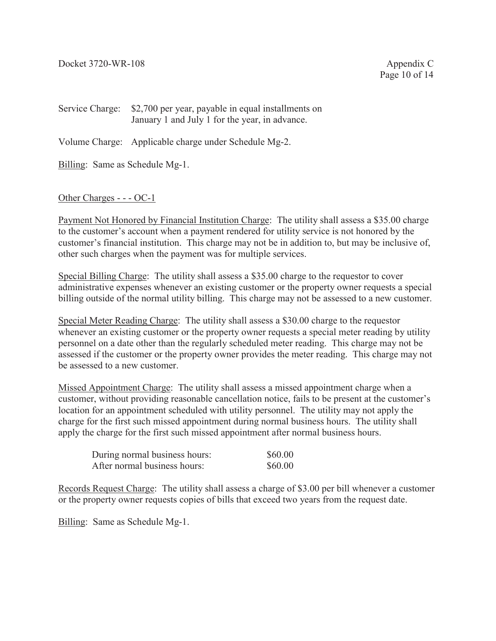Page 10 of 14

Service Charge: \$2,700 per year, payable in equal installments on January 1 and July 1 for the year, in advance.

Volume Charge: Applicable charge under Schedule Mg-2.

Billing: Same as Schedule Mg-1.

# Other Charges - - - OC-1

Payment Not Honored by Financial Institution Charge: The utility shall assess a \$35.00 charge to the customer's account when a payment rendered for utility service is not honored by the customer's financial institution. This charge may not be in addition to, but may be inclusive of, other such charges when the payment was for multiple services.

Special Billing Charge: The utility shall assess a \$35.00 charge to the requestor to cover administrative expenses whenever an existing customer or the property owner requests a special billing outside of the normal utility billing. This charge may not be assessed to a new customer.

Special Meter Reading Charge: The utility shall assess a \$30.00 charge to the requestor whenever an existing customer or the property owner requests a special meter reading by utility personnel on a date other than the regularly scheduled meter reading. This charge may not be assessed if the customer or the property owner provides the meter reading. This charge may not be assessed to a new customer.

Missed Appointment Charge: The utility shall assess a missed appointment charge when a customer, without providing reasonable cancellation notice, fails to be present at the customer's location for an appointment scheduled with utility personnel. The utility may not apply the charge for the first such missed appointment during normal business hours. The utility shall apply the charge for the first such missed appointment after normal business hours.

| During normal business hours: | \$60.00 |
|-------------------------------|---------|
| After normal business hours:  | \$60.00 |

Records Request Charge: The utility shall assess a charge of \$3.00 per bill whenever a customer or the property owner requests copies of bills that exceed two years from the request date.

Billing: Same as Schedule Mg-1.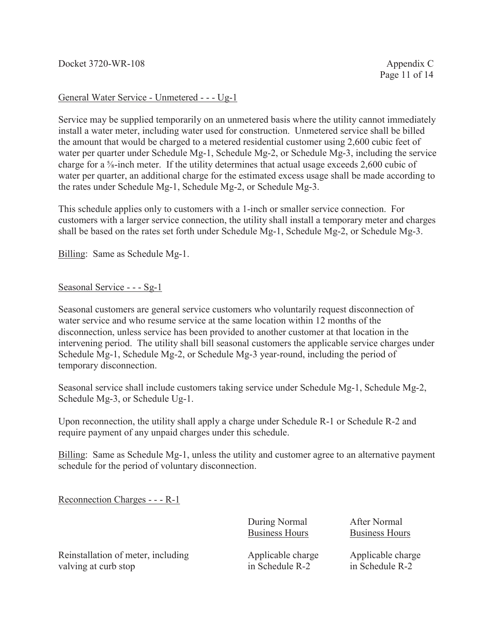# General Water Service - Unmetered - - - Ug-1

Service may be supplied temporarily on an unmetered basis where the utility cannot immediately install a water meter, including water used for construction. Unmetered service shall be billed the amount that would be charged to a metered residential customer using 2,600 cubic feet of water per quarter under Schedule Mg-1, Schedule Mg-2, or Schedule Mg-3, including the service charge for a  $\frac{5}{8}$ -inch meter. If the utility determines that actual usage exceeds 2,600 cubic of water per quarter, an additional charge for the estimated excess usage shall be made according to the rates under Schedule Mg-1, Schedule Mg-2, or Schedule Mg-3.

This schedule applies only to customers with a 1-inch or smaller service connection. For customers with a larger service connection, the utility shall install a temporary meter and charges shall be based on the rates set forth under Schedule Mg-1, Schedule Mg-2, or Schedule Mg-3.

Billing: Same as Schedule Mg-1.

# Seasonal Service - - - Sg-1

Seasonal customers are general service customers who voluntarily request disconnection of water service and who resume service at the same location within 12 months of the disconnection, unless service has been provided to another customer at that location in the intervening period. The utility shall bill seasonal customers the applicable service charges under Schedule Mg-1, Schedule Mg-2, or Schedule Mg-3 year-round, including the period of temporary disconnection.

Seasonal service shall include customers taking service under Schedule Mg-1, Schedule Mg-2, Schedule Mg-3, or Schedule Ug-1.

Upon reconnection, the utility shall apply a charge under Schedule R-1 or Schedule R-2 and require payment of any unpaid charges under this schedule.

Billing: Same as Schedule Mg-1, unless the utility and customer agree to an alternative payment schedule for the period of voluntary disconnection.

Reconnection Charges - - - R-1

During Normal After Normal Business Hours Business Hours

Reinstallation of meter, including  $\begin{array}{ccc}\n\text{Applicable charge} & \text{Applicable charge} \\
\text{valving at curb stop} & \text{in Scheduling} & \text{in Scheduling}\n\end{array}$ valving at curb stop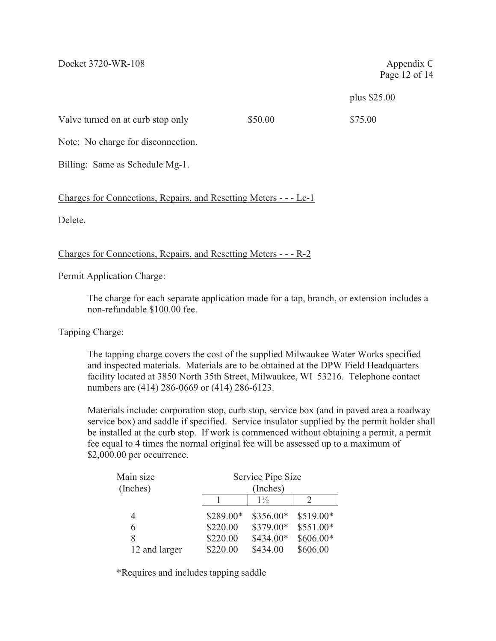Page 12 of 14

plus \$25.00

Valve turned on at curb stop only \$50.00 \$75.00

Note: No charge for disconnection.

Billing: Same as Schedule Mg-1.

Charges for Connections, Repairs, and Resetting Meters - - - Lc-1

Delete.

Charges for Connections, Repairs, and Resetting Meters - - - R-2

Permit Application Charge:

The charge for each separate application made for a tap, branch, or extension includes a non-refundable \$100.00 fee.

Tapping Charge:

The tapping charge covers the cost of the supplied Milwaukee Water Works specified and inspected materials. Materials are to be obtained at the DPW Field Headquarters facility located at 3850 North 35th Street, Milwaukee, WI 53216. Telephone contact numbers are (414) 286-0669 or (414) 286-6123.

Materials include: corporation stop, curb stop, service box (and in paved area a roadway service box) and saddle if specified. Service insulator supplied by the permit holder shall be installed at the curb stop. If work is commenced without obtaining a permit, a permit fee equal to 4 times the normal original fee will be assessed up to a maximum of \$2,000.00 per occurrence.

| Main size     |           | Service Pipe Size |           |  |  |
|---------------|-----------|-------------------|-----------|--|--|
| (Inches)      |           | (Inches)          |           |  |  |
|               |           | $1\frac{1}{2}$    |           |  |  |
| 4             | \$289.00* | \$356.00*         | \$519.00* |  |  |
| 6             | \$220.00  | \$379.00*         | \$551.00* |  |  |
| 8             | \$220.00  | \$434.00*         | \$606.00* |  |  |
| 12 and larger | \$220.00  | \$434.00          | \$606.00  |  |  |

\*Requires and includes tapping saddle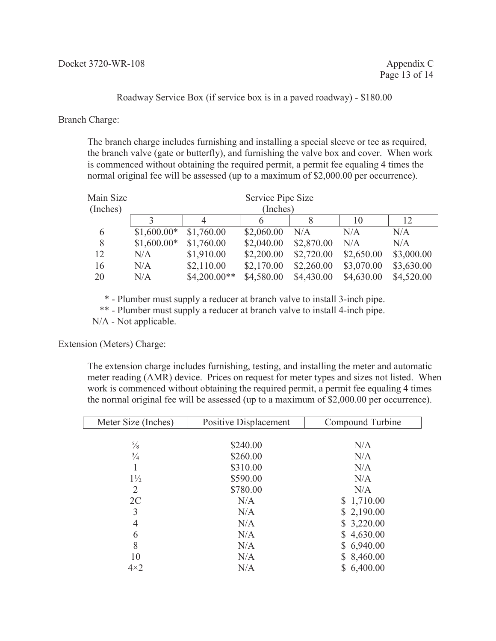Roadway Service Box (if service box is in a paved roadway) - \$180.00

Branch Charge:

The branch charge includes furnishing and installing a special sleeve or tee as required, the branch valve (gate or butterfly), and furnishing the valve box and cover. When work is commenced without obtaining the required permit, a permit fee equaling 4 times the normal original fee will be assessed (up to a maximum of \$2,000.00 per occurrence).

| Main Size | Service Pipe Size |                |            |            |            |            |
|-----------|-------------------|----------------|------------|------------|------------|------------|
| (Inches)  |                   |                | (Inches)   |            |            |            |
|           |                   | 4              |            |            | 10         | 12         |
| 6         | $$1,600.00*$      | \$1,760.00     | \$2,060.00 | N/A        | N/A        | N/A        |
| 8         | $$1,600.00*$      | \$1,760.00     | \$2,040.00 | \$2,870.00 | N/A        | N/A        |
| 12        | N/A               | \$1,910.00     | \$2,200.00 | \$2,720.00 | \$2,650.00 | \$3,000.00 |
| 16        | N/A               | \$2,110.00     | \$2,170.00 | \$2,260.00 | \$3,070.00 | \$3,630.00 |
| 20        | N/A               | $$4,200.00**$$ | \$4,580.00 | \$4,430.00 | \$4,630.00 | \$4,520.00 |

\* - Plumber must supply a reducer at branch valve to install 3-inch pipe.

\*\* - Plumber must supply a reducer at branch valve to install 4-inch pipe.

N/A - Not applicable.

Extension (Meters) Charge:

The extension charge includes furnishing, testing, and installing the meter and automatic meter reading (AMR) device. Prices on request for meter types and sizes not listed. When work is commenced without obtaining the required permit, a permit fee equaling 4 times the normal original fee will be assessed (up to a maximum of \$2,000.00 per occurrence).

| Meter Size (Inches) | Positive Displacement | Compound Turbine |
|---------------------|-----------------------|------------------|
|                     |                       |                  |
| $\frac{5}{8}$       | \$240.00              | N/A              |
| $\frac{3}{4}$       | \$260.00              | N/A              |
|                     | \$310.00              | N/A              |
| $1\frac{1}{2}$      | \$590.00              | N/A              |
| $\overline{2}$      | \$780.00              | N/A              |
| 2C                  | N/A                   | \$1,710.00       |
| 3                   | N/A                   | \$2,190.00       |
| 4                   | N/A                   | \$3,220.00       |
| 6                   | N/A                   | \$4,630.00       |
| 8                   | N/A                   | \$6,940.00       |
| 10                  | N/A                   | \$8,460.00       |
| $4\times2$          | N/A                   | \$6,400.00       |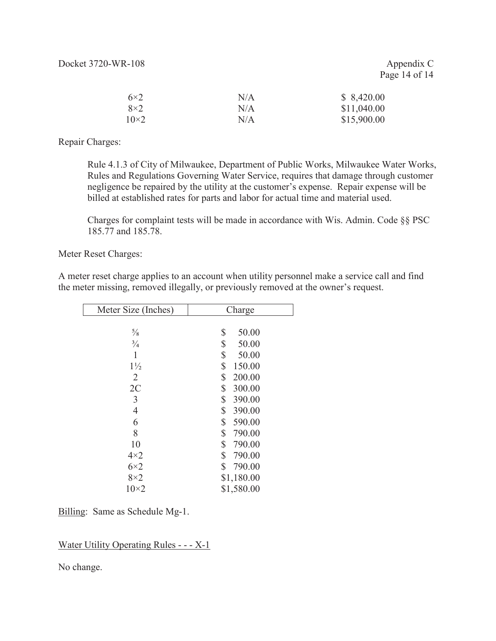Page 14 of 14

| $6\times2$  | N/A | \$8,420.00  |
|-------------|-----|-------------|
| $8\times2$  | N/A | \$11,040.00 |
| $10\times2$ | N/A | \$15,900.00 |

Repair Charges:

Rule 4.1.3 of City of Milwaukee, Department of Public Works, Milwaukee Water Works, Rules and Regulations Governing Water Service, requires that damage through customer negligence be repaired by the utility at the customer's expense. Repair expense will be billed at established rates for parts and labor for actual time and material used.

Charges for complaint tests will be made in accordance with Wis. Admin. Code §§ PSC 185.77 and 185.78.

Meter Reset Charges:

A meter reset charge applies to an account when utility personnel make a service call and find the meter missing, removed illegally, or previously removed at the owner's request.

| Meter Size (Inches) | Charge       |
|---------------------|--------------|
|                     |              |
| $\frac{5}{8}$       | \$<br>50.00  |
| $\frac{3}{4}$       | \$<br>50.00  |
| 1                   | \$<br>50.00  |
| $1\frac{1}{2}$      | \$<br>150.00 |
| 2                   | \$<br>200.00 |
| 2C                  | \$<br>300.00 |
| 3                   | \$<br>390.00 |
| 4                   | \$<br>390.00 |
| 6                   | \$<br>590.00 |
| 8                   | \$<br>790.00 |
| 10                  | \$<br>790.00 |
| $4\times2$          | \$<br>790.00 |
| $6\times2$          | \$<br>790.00 |
| $8\times2$          | \$1,180.00   |
| $10\times 2$        | \$1,580.00   |

Billing: Same as Schedule Mg-1.

Water Utility Operating Rules - - - X-1

No change.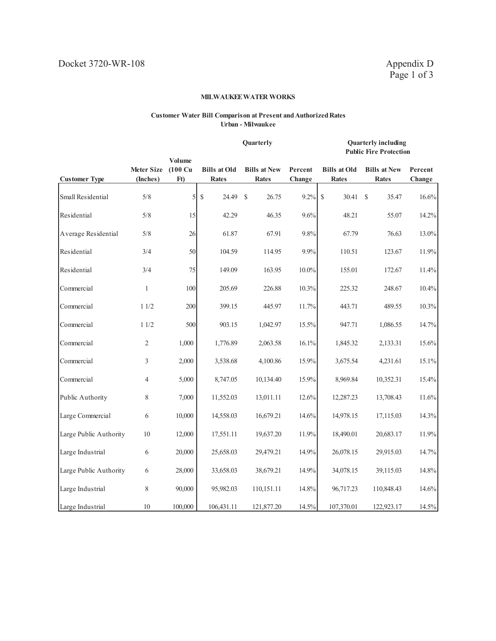#### **Customer Water Bill Comparison at Present and Authorized Rates Urban - Milwaukee**

|                        |                               |                                                         | Quarterly                           |                                     |                   | <b>Quarterly including</b><br><b>Public Fire Protection</b> |                                     |                   |
|------------------------|-------------------------------|---------------------------------------------------------|-------------------------------------|-------------------------------------|-------------------|-------------------------------------------------------------|-------------------------------------|-------------------|
| <b>Customer Type</b>   | <b>Meter Size</b><br>(Inches) | <b>Volume</b><br>$(100 \text{ Cu})$<br>F <sub>t</sub> ) | <b>Bills at Old</b><br><b>Rates</b> | <b>Bills at New</b><br><b>Rates</b> | Percent<br>Change | <b>Bills at Old</b><br><b>Rates</b>                         | <b>Bills at New</b><br><b>Rates</b> | Percent<br>Change |
| Small Residential      | 5/8                           | $\mathfrak{S}$                                          | $\mathbb{S}$<br>24.49               | $\mathcal{S}$<br>26.75              | 9.2%              | \$<br>30.41                                                 | 35.47<br>$\mathcal{S}$              | 16.6%             |
| Residential            | 5/8                           | 15                                                      | 42.29                               | 46.35                               | 9.6%              | 48.21                                                       | 55.07                               | 14.2%             |
| Average Residential    | $5/8$                         | 26                                                      | 61.87                               | 67.91                               | 9.8%              | 67.79                                                       | 76.63                               | 13.0%             |
| Residential            | 3/4                           | 50                                                      | 104.59                              | 114.95                              | 9.9%              | 110.51                                                      | 123.67                              | 11.9%             |
| Residential            | 3/4                           | 75                                                      | 149.09                              | 163.95                              | $10.0\%$          | 155.01                                                      | 172.67                              | 11.4%             |
| Commercial             | $\mathbf{1}$                  | 100                                                     | 205.69                              | 226.88                              | 10.3%             | 225.32                                                      | 248.67                              | 10.4%             |
| Commercial             | 11/2                          | 200                                                     | 399.15                              | 445.97                              | 11.7%             | 443.71                                                      | 489.55                              | 10.3%             |
| Commercial             | 11/2                          | 500                                                     | 903.15                              | 1,042.97                            | 15.5%             | 947.71                                                      | 1,086.55                            | 14.7%             |
| Commercial             | 2                             | 1,000                                                   | 1,776.89                            | 2,063.58                            | 16.1%             | 1,845.32                                                    | 2,133.31                            | 15.6%             |
| Commercial             | 3                             | 2,000                                                   | 3,538.68                            | 4,100.86                            | 15.9%             | 3,675.54                                                    | 4,231.61                            | 15.1%             |
| Commercial             | $\overline{4}$                | 5,000                                                   | 8,747.05                            | 10,134.40                           | 15.9%             | 8,969.84                                                    | 10,352.31                           | 15.4%             |
| Public Authority       | 8                             | 7,000                                                   | 11,552.03                           | 13,011.11                           | 12.6%             | 12,287.23                                                   | 13,708.43                           | 11.6%             |
| Large Commercial       | 6                             | 10,000                                                  | 14,558.03                           | 16,679.21                           | 14.6%             | 14,978.15                                                   | 17,115.03                           | 14.3%             |
| Large Public Authority | 10                            | 12,000                                                  | 17,551.11                           | 19,637.20                           | 11.9%             | 18,490.01                                                   | 20,683.17                           | 11.9%             |
| Large Industrial       | 6                             | 20,000                                                  | 25,658.03                           | 29,479.21                           | 14.9%             | 26,078.15                                                   | 29,915.03                           | 14.7%             |
| Large Public Authority | 6                             | 28,000                                                  | 33,658.03                           | 38,679.21                           | 14.9%             | 34,078.15                                                   | 39,115.03                           | 14.8%             |
| Large Industrial       | 8                             | 90,000                                                  | 95,982.03                           | 110,151.11                          | 14.8%             | 96,717.23                                                   | 110,848.43                          | 14.6%             |
| Large Industrial       | 10                            | 100,000                                                 | 106,431.11                          | 121,877.20                          | 14.5%             | 107,370.01                                                  | 122,923.17                          | 14.5%             |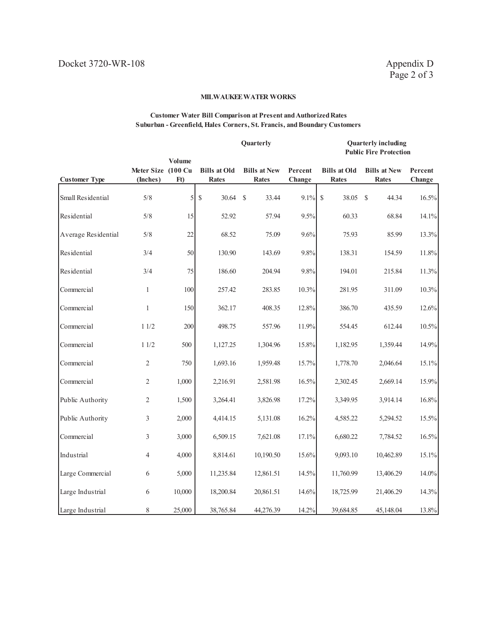#### **Customer Water Bill Comparison at Present and Authorized Rates Suburban - Greenfield, Hales Corners, St. Francis, and Boundary Customers**

**Quarterly Quarterly including** 

|                      |                                |                          |                                     |                                     |                   | <b>Public Fire Protection</b>       |                                     |                   |
|----------------------|--------------------------------|--------------------------|-------------------------------------|-------------------------------------|-------------------|-------------------------------------|-------------------------------------|-------------------|
| <b>Customer Type</b> | Meter Size (100 Cu<br>(Inches) | Volume<br>F <sub>t</sub> | <b>Bills at Old</b><br><b>Rates</b> | <b>Bills at New</b><br><b>Rates</b> | Percent<br>Change | <b>Bills at Old</b><br><b>Rates</b> | <b>Bills at New</b><br><b>Rates</b> | Percent<br>Change |
| Small Residential    | 5/8                            | $\mathfrak{S}$           | $\$$<br>30.64                       | <sup>S</sup><br>33.44               | 9.1%              | $\$$<br>38.05                       | 44.34<br><sup>\$</sup>              | 16.5%             |
| Residential          | 5/8                            | 15 <sup>1</sup>          | 52.92                               | 57.94                               | 9.5%              | 60.33                               | 68.84                               | 14.1%             |
| Average Residential  | 5/8                            | 22                       | 68.52                               | 75.09                               | 9.6%              | 75.93                               | 85.99                               | 13.3%             |
| Residential          | 3/4                            | 50                       | 130.90                              | 143.69                              | 9.8%              | 138.31                              | 154.59                              | 11.8%             |
| Residential          | 3/4                            | 75                       | 186.60                              | 204.94                              | 9.8%              | 194.01                              | 215.84                              | 11.3%             |
| Commercial           | $\mathbf{1}$                   | 100                      | 257.42                              | 283.85                              | 10.3%             | 281.95                              | 311.09                              | 10.3%             |
| Commercial           | $\mathbf{1}$                   | 150                      | 362.17                              | 408.35                              | 12.8%             | 386.70                              | 435.59                              | 12.6%             |
| Commercial           | 11/2                           | 200                      | 498.75                              | 557.96                              | 11.9%             | 554.45                              | 612.44                              | 10.5%             |
| Commercial           | 11/2                           | 500                      | 1,127.25                            | 1,304.96                            | 15.8%             | 1,182.95                            | 1,359.44                            | 14.9%             |
| Commercial           | 2                              | 750                      | 1,693.16                            | 1,959.48                            | 15.7%             | 1,778.70                            | 2,046.64                            | 15.1%             |
| Commercial           | $\mathfrak{2}$                 | 1,000                    | 2,216.91                            | 2,581.98                            | 16.5%             | 2,302.45                            | 2,669.14                            | 15.9%             |
| Public Authority     | $\overline{2}$                 | 1,500                    | 3,264.41                            | 3,826.98                            | 17.2%             | 3,349.95                            | 3,914.14                            | 16.8%             |
| Public Authority     | 3                              | 2,000                    | 4,414.15                            | 5,131.08                            | 16.2%             | 4,585.22                            | 5,294.52                            | 15.5%             |
| Commercial           | 3                              | 3,000                    | 6,509.15                            | 7,621.08                            | 17.1%             | 6,680.22                            | 7,784.52                            | 16.5%             |
| Industrial           | $\overline{4}$                 | 4,000                    | 8,814.61                            | 10,190.50                           | 15.6%             | 9,093.10                            | 10,462.89                           | 15.1%             |
| Large Commercial     | 6                              | 5,000                    | 11,235.84                           | 12,861.51                           | 14.5%             | 11,760.99                           | 13,406.29                           | 14.0%             |
| Large Industrial     | 6                              | 10,000                   | 18,200.84                           | 20,861.51                           | 14.6%             | 18,725.99                           | 21,406.29                           | 14.3%             |
| Large Industrial     | 8                              | 25,000                   | 38,765.84                           | 44,276.39                           | 14.2%             | 39,684.85                           | 45,148.04                           | 13.8%             |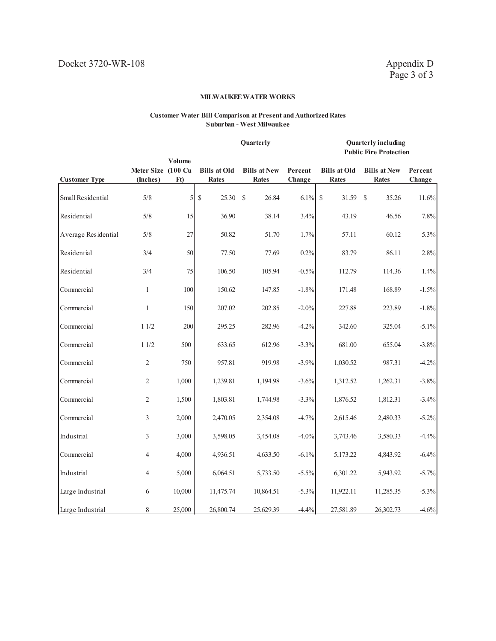#### **Customer Water Bill Comparison at Present and Authorized Rates Suburban - West Milwaukee**

#### **Quarterly Quarterly including Public Fire Protection**

| <b>Customer Type</b> | Meter Size (100 Cu<br>(Inches) | Volume<br>F <sub>t</sub> ) | <b>Bills at Old</b><br><b>Rates</b> | <b>Bills at New</b><br><b>Rates</b> | Percent<br>Change | <b>Bills at Old</b><br><b>Rates</b> | <b>Bills at New</b><br><b>Rates</b> | Percent<br>Change |
|----------------------|--------------------------------|----------------------------|-------------------------------------|-------------------------------------|-------------------|-------------------------------------|-------------------------------------|-------------------|
| Small Residential    | 5/8                            | 5                          | \$<br>25.30                         | 26.84<br>$\mathcal{S}$              | 6.1%              | <sup>\$</sup><br>31.59              | $\mathcal{S}$<br>35.26              | 11.6%             |
| Residential          | 5/8                            | 15                         | 36.90                               | 38.14                               | 3.4%              | 43.19                               | 46.56                               | 7.8%              |
| Average Residential  | 5/8                            | 27                         | 50.82                               | 51.70                               | 1.7%              | 57.11                               | 60.12                               | 5.3%              |
| Residential          | 3/4                            | 50                         | 77.50                               | 77.69                               | 0.2%              | 83.79                               | 86.11                               | 2.8%              |
| Residential          | 3/4                            | 75                         | 106.50                              | 105.94                              | $-0.5%$           | 112.79                              | 114.36                              | 1.4%              |
| Commercial           | $\mathbf{1}$                   | 100                        | 150.62                              | 147.85                              | $-1.8%$           | 171.48                              | 168.89                              | $-1.5%$           |
| Commercial           | $\mathbf{1}$                   | 150                        | 207.02                              | 202.85                              | $-2.0%$           | 227.88                              | 223.89                              | $-1.8%$           |
| Commercial           | 11/2                           | 200                        | 295.25                              | 282.96                              | $-4.2%$           | 342.60                              | 325.04                              | $-5.1%$           |
| Commercial           | 11/2                           | 500                        | 633.65                              | 612.96                              | $-3.3%$           | 681.00                              | 655.04                              | $-3.8%$           |
| Commercial           | $\overline{2}$                 | 750                        | 957.81                              | 919.98                              | $-3.9%$           | 1,030.52                            | 987.31                              | $-4.2%$           |
| Commercial           | $\overline{2}$                 | 1,000                      | 1,239.81                            | 1,194.98                            | $-3.6%$           | 1,312.52                            | 1,262.31                            | $-3.8%$           |
| Commercial           | $\overline{2}$                 | 1,500                      | 1,803.81                            | 1,744.98                            | $-3.3%$           | 1,876.52                            | 1,812.31                            | $-3.4%$           |
| Commercial           | 3                              | 2,000                      | 2,470.05                            | 2,354.08                            | $-4.7%$           | 2,615.46                            | 2,480.33                            | $-5.2\%$          |
| Industrial           | 3                              | 3,000                      | 3,598.05                            | 3,454.08                            | $-4.0%$           | 3,743.46                            | 3,580.33                            | $-4.4%$           |
| Commercial           | 4                              | 4,000                      | 4,936.51                            | 4,633.50                            | $-6.1%$           | 5,173.22                            | 4,843.92                            | $-6.4%$           |
| Industrial           | 4                              | 5,000                      | 6,064.51                            | 5,733.50                            | $-5.5\%$          | 6,301.22                            | 5,943.92                            | $-5.7\%$          |
| Large Industrial     | 6                              | 10,000                     | 11,475.74                           | 10,864.51                           | $-5.3\%$          | 11,922.11                           | 11,285.35                           | $-5.3%$           |
| Large Industrial     | 8                              | 25,000                     | 26,800.74                           | 25,629.39                           | $-4.4%$           | 27,581.89                           | 26,302.73                           | $-4.6%$           |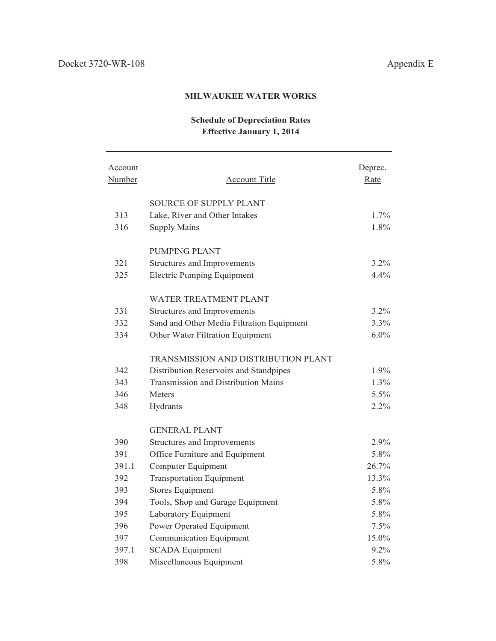# **Schedule of Depreciation Rates Effective January 1, 2014**

| Account<br>Number | <b>Account Title</b>                       | Deprec.<br>Rate |
|-------------------|--------------------------------------------|-----------------|
|                   | <b>SOURCE OF SUPPLY PLANT</b>              |                 |
| 313               | Lake, River and Other Intakes              | 1.7%            |
| 316               | <b>Supply Mains</b>                        | 1.8%            |
|                   | <b>PUMPING PLANT</b>                       |                 |
| 321               | Structures and Improvements                | $3.2\%$         |
| 325               | <b>Electric Pumping Equipment</b>          | 4.4%            |
|                   | WATER TREATMENT PLANT                      |                 |
| 331               | Structures and Improvements                | 3.2%            |
| 332               | Sand and Other Media Filtration Equipment  | 3.3%            |
| 334               | Other Water Filtration Equipment           | $6.0\%$         |
|                   | TRANSMISSION AND DISTRIBUTION PLANT        |                 |
| 342               | Distribution Reservoirs and Standpipes     | 1.9%            |
| 343               | <b>Transmission and Distribution Mains</b> | 1.3%            |
| 346               | <b>Meters</b>                              | 5.5%            |
| 348               | Hydrants                                   | 2.2%            |
|                   | <b>GENERAL PLANT</b>                       |                 |
| 390               | Structures and Improvements                | 2.9%            |
| 391               | Office Furniture and Equipment             | 5.8%            |
| 391.1             | Computer Equipment                         | 26.7%           |
| 392               | <b>Transportation Equipment</b>            | 13.3%           |
| 393               | <b>Stores Equipment</b>                    | 5.8%            |
| 394               | Tools, Shop and Garage Equipment           | 5.8%            |
| 395               | Laboratory Equipment                       | 5.8%            |
| 396               | Power Operated Equipment                   | 7.5%            |
| 397               | <b>Communication Equipment</b>             | 15.0%           |
| 397.1             | <b>SCADA</b> Equipment                     | 9.2%            |
| 398               | Miscellaneous Equipment                    | 5.8%            |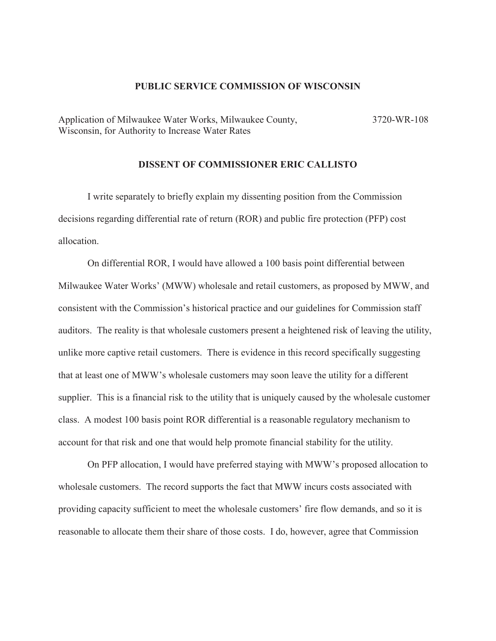## **PUBLIC SERVICE COMMISSION OF WISCONSIN**

Application of Milwaukee Water Works, Milwaukee County, Wisconsin, for Authority to Increase Water Rates 3720-WR-108

## **DISSENT OF COMMISSIONER ERIC CALLISTO**

I write separately to briefly explain my dissenting position from the Commission decisions regarding differential rate of return (ROR) and public fire protection (PFP) cost allocation.

On differential ROR, I would have allowed a 100 basis point differential between Milwaukee Water Works' (MWW) wholesale and retail customers, as proposed by MWW, and consistent with the Commission's historical practice and our guidelines for Commission staff auditors. The reality is that wholesale customers present a heightened risk of leaving the utility, unlike more captive retail customers. There is evidence in this record specifically suggesting that at least one of MWW's wholesale customers may soon leave the utility for a different supplier. This is a financial risk to the utility that is uniquely caused by the wholesale customer class. A modest 100 basis point ROR differential is a reasonable regulatory mechanism to account for that risk and one that would help promote financial stability for the utility.

On PFP allocation, I would have preferred staying with MWW's proposed allocation to wholesale customers. The record supports the fact that MWW incurs costs associated with providing capacity sufficient to meet the wholesale customers' fire flow demands, and so it is reasonable to allocate them their share of those costs. I do, however, agree that Commission